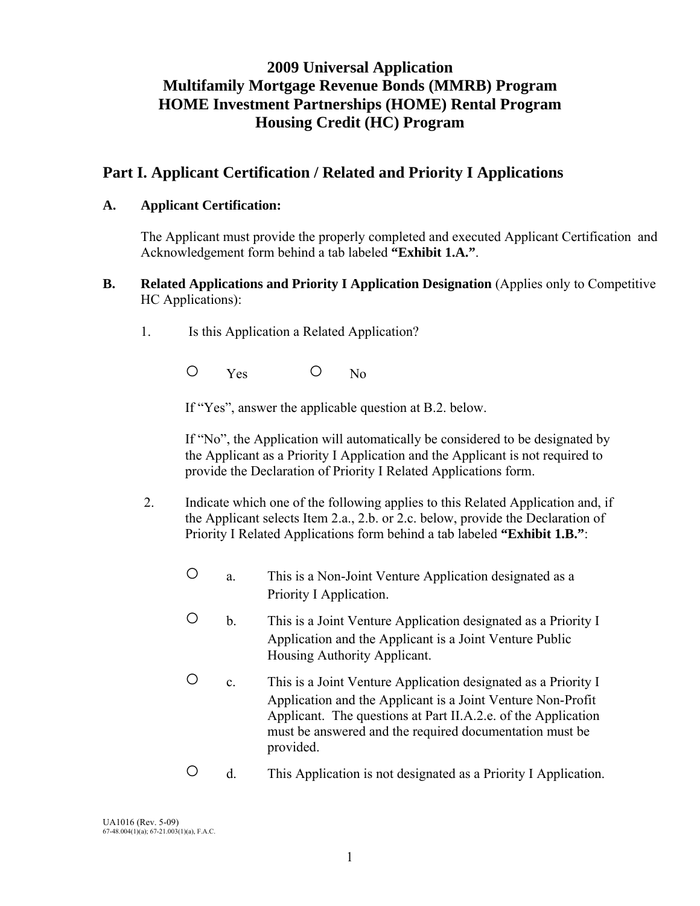# **2009 Universal Application Multifamily Mortgage Revenue Bonds (MMRB) Program HOME Investment Partnerships (HOME) Rental Program Housing Credit (HC) Program**

# **Part I. Applicant Certification / Related and Priority I Applications**

### **A. Applicant Certification:**

 The Applicant must provide the properly completed and executed Applicant Certification and Acknowledgement form behind a tab labeled **"Exhibit 1.A."**.

## **B.** Related Applications and Priority I Application Designation (Applies only to Competitive HC Applications):

1. Is this Application a Related Application?

O Yes O No

If "Yes", answer the applicable question at B.2. below.

If "No", the Application will automatically be considered to be designated by the Applicant as a Priority I Application and the Applicant is not required to provide the Declaration of Priority I Related Applications form.

- 2. Indicate which one of the following applies to this Related Application and, if the Applicant selects Item 2.a., 2.b. or 2.c. below, provide the Declaration of Priority I Related Applications form behind a tab labeled **"Exhibit 1.B."**:
	- a. This is a Non-Joint Venture Application designated as a Priority I Application.
	- b. This is a Joint Venture Application designated as a Priority I Application and the Applicant is a Joint Venture Public Housing Authority Applicant.
	- c. This is a Joint Venture Application designated as a Priority I Application and the Applicant is a Joint Venture Non-Profit Applicant. The questions at Part II.A.2.e. of the Application must be answered and the required documentation must be provided.
	- d. This Application is not designated as a Priority I Application.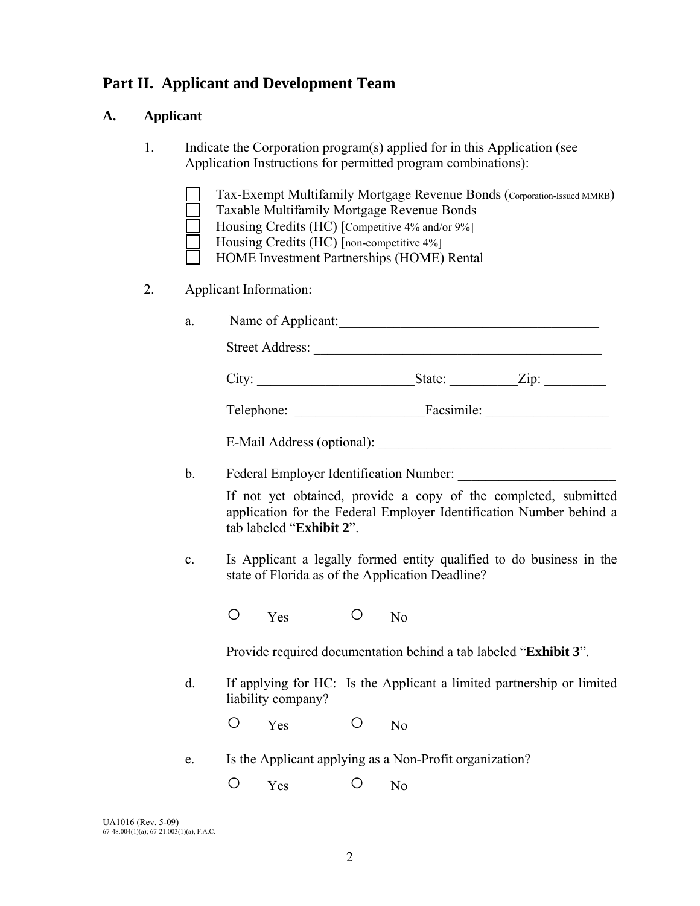# **Part II. Applicant and Development Team**

### **A. Applicant**

- 1. Indicate the Corporation program(s) applied for in this Application (see Application Instructions for permitted program combinations):
	- Tax-Exempt Multifamily Mortgage Revenue Bonds (Corporation-Issued MMRB)
	- Taxable Multifamily Mortgage Revenue Bonds
	- Housing Credits (HC) [Competitive 4% and/or 9%]
	- Housing Credits (HC) [non-competitive 4%]
	- HOME Investment Partnerships (HOME) Rental

### 2. Applicant Information:

| a. | Name of Applicant:         |            |      |
|----|----------------------------|------------|------|
|    | <b>Street Address:</b>     |            |      |
|    | City:                      | State:     | Zip: |
|    | Telephone:                 | Facsimile: |      |
|    | E-Mail Address (optional): |            |      |

b. Federal Employer Identification Number:

 If not yet obtained, provide a copy of the completed, submitted application for the Federal Employer Identification Number behind a tab labeled "**Exhibit 2**".

 c. Is Applicant a legally formed entity qualified to do business in the state of Florida as of the Application Deadline?

O Yes O No

Provide required documentation behind a tab labeled "**Exhibit 3**".

 d. If applying for HC: Is the Applicant a limited partnership or limited liability company?

O Yes O No

- e. Is the Applicant applying as a Non-Profit organization?
	- O Yes O No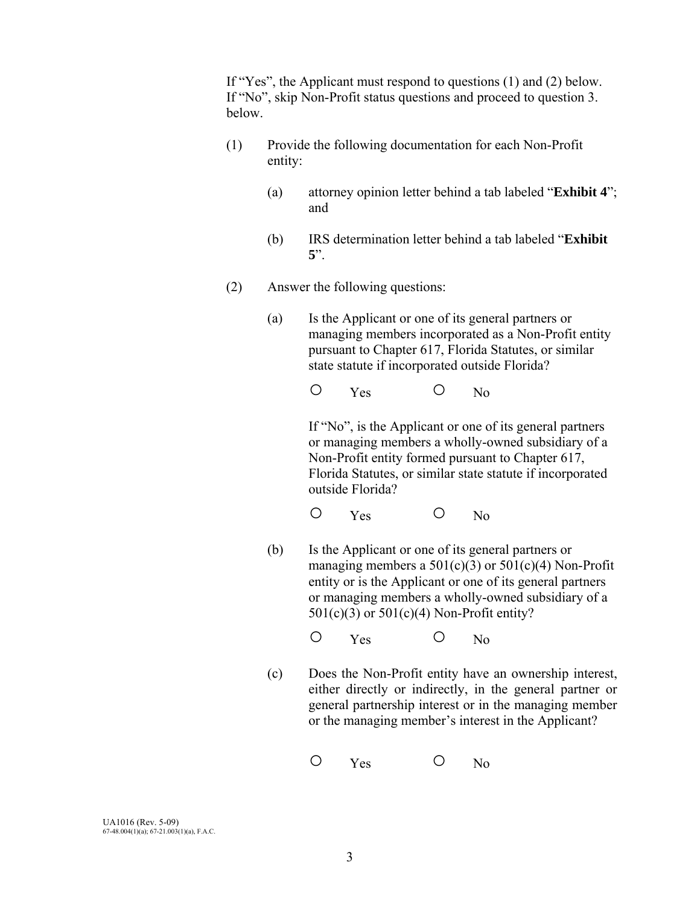If "Yes", the Applicant must respond to questions (1) and (2) below. If "No", skip Non-Profit status questions and proceed to question 3. below.

- (1) Provide the following documentation for each Non-Profit entity:
	- (a) attorney opinion letter behind a tab labeled "**Exhibit 4**"; and
	- (b) IRS determination letter behind a tab labeled "**Exhibit 5**".
- (2) Answer the following questions:
	- (a)Is the Applicant or one of its general partners or managing members incorporated as a Non-Profit entity pursuant to Chapter 617, Florida Statutes, or similar state statute if incorporated outside Florida?

O Yes O No

 If "No", is the Applicant or one of its general partners or managing members a wholly-owned subsidiary of a Non-Profit entity formed pursuant to Chapter 617, Florida Statutes, or similar state statute if incorporated outside Florida?

O Yes O No

- (b) Is the Applicant or one of its general partners or managing members a  $501(c)(3)$  or  $501(c)(4)$  Non-Profit entity or is the Applicant or one of its general partners or managing members a wholly-owned subsidiary of a  $501(c)(3)$  or  $501(c)(4)$  Non-Profit entity?
- O Yes O No
	- (c) Does the Non-Profit entity have an ownership interest, either directly or indirectly, in the general partner or general partnership interest or in the managing member or the managing member's interest in the Applicant?

O Yes O No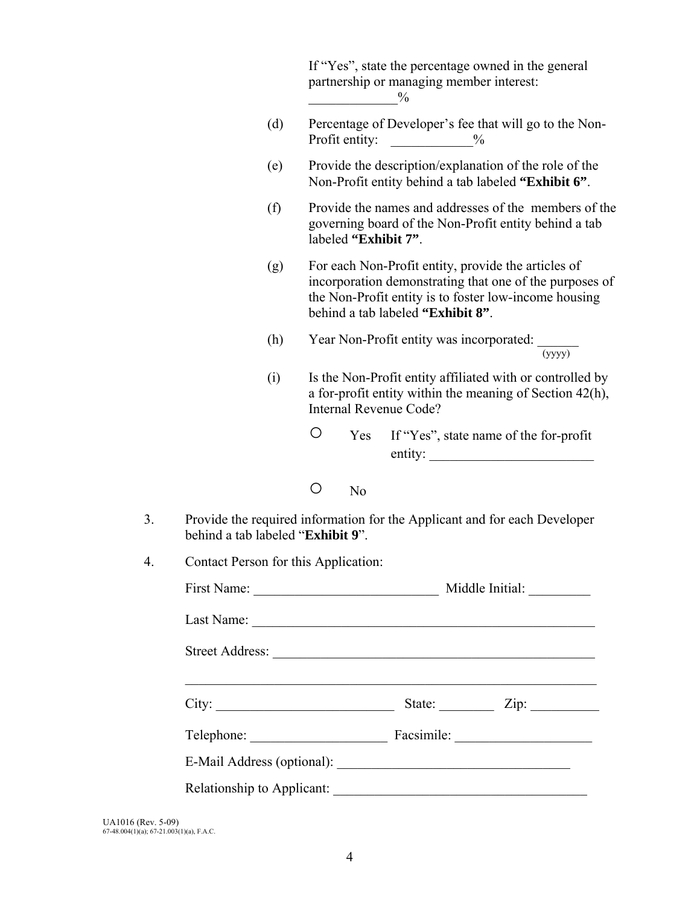|    |                                      | If "Yes", state the percentage owned in the general<br>partnership or managing member interest:<br>$\frac{0}{0}$                                                                                             |  |
|----|--------------------------------------|--------------------------------------------------------------------------------------------------------------------------------------------------------------------------------------------------------------|--|
|    | (d)                                  | Percentage of Developer's fee that will go to the Non-<br>Profit entity:<br>$\frac{0}{0}$                                                                                                                    |  |
|    | (e)                                  | Provide the description/explanation of the role of the<br>Non-Profit entity behind a tab labeled "Exhibit 6".                                                                                                |  |
|    | (f)                                  | Provide the names and addresses of the members of the<br>governing board of the Non-Profit entity behind a tab<br>labeled "Exhibit 7".                                                                       |  |
|    | (g)                                  | For each Non-Profit entity, provide the articles of<br>incorporation demonstrating that one of the purposes of<br>the Non-Profit entity is to foster low-income housing<br>behind a tab labeled "Exhibit 8". |  |
|    | (h)                                  | Year Non-Profit entity was incorporated: $\frac{1}{(yyyy)}$                                                                                                                                                  |  |
|    | (i)                                  | Is the Non-Profit entity affiliated with or controlled by<br>a for-profit entity within the meaning of Section $42(h)$ ,<br>Internal Revenue Code?                                                           |  |
|    |                                      | $\bigcirc$<br>If "Yes", state name of the for-profit<br>Yes<br>$\text{entity:}$                                                                                                                              |  |
|    |                                      | O<br>N <sub>o</sub>                                                                                                                                                                                          |  |
| 3. | behind a tab labeled "Exhibit 9".    | Provide the required information for the Applicant and for each Developer                                                                                                                                    |  |
| 4  | Contact Person for this Application: |                                                                                                                                                                                                              |  |
|    |                                      |                                                                                                                                                                                                              |  |
|    |                                      |                                                                                                                                                                                                              |  |
|    |                                      |                                                                                                                                                                                                              |  |
|    |                                      | <u> 1989 - Johann Stoff, amerikansk politiker (d. 1989)</u>                                                                                                                                                  |  |
|    |                                      | Telephone: Facsimile: Facsimile:                                                                                                                                                                             |  |
|    |                                      |                                                                                                                                                                                                              |  |
|    |                                      |                                                                                                                                                                                                              |  |
|    |                                      |                                                                                                                                                                                                              |  |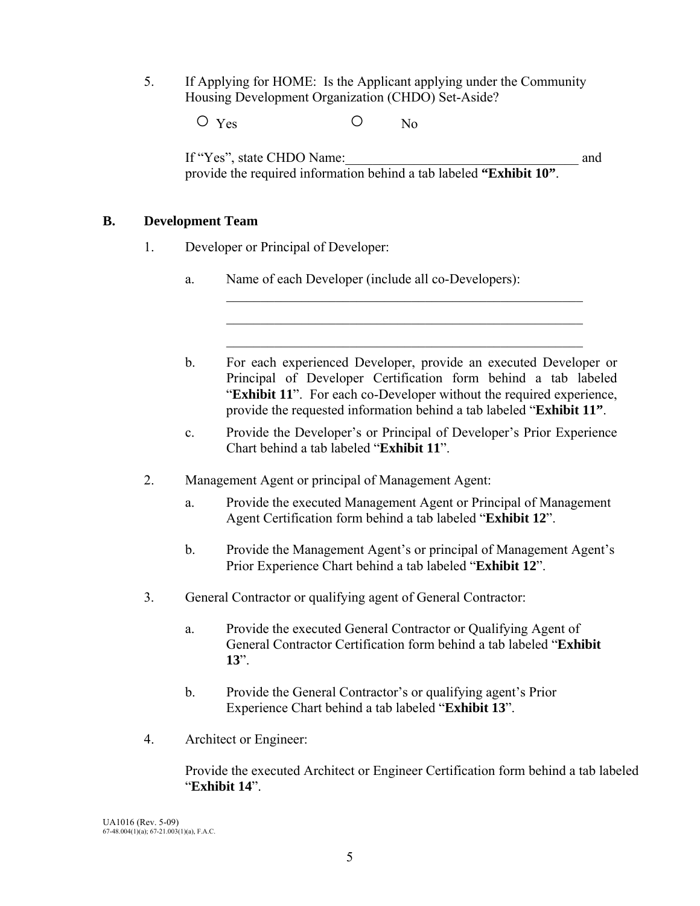5. If Applying for HOME: Is the Applicant applying under the Community Housing Development Organization (CHDO) Set-Aside?

O Yes O No

If "Yes", state CHDO Name:  $\blacksquare$ provide the required information behind a tab labeled **"Exhibit 10"**.

## **B. Development Team**

- 1. Developer or Principal of Developer:
	- a. Name of each Developer (include all co-Developers):

 $\mathcal{L}_\mathcal{L} = \{ \mathcal{L}_\mathcal{L} = \{ \mathcal{L}_\mathcal{L} = \{ \mathcal{L}_\mathcal{L} = \{ \mathcal{L}_\mathcal{L} = \{ \mathcal{L}_\mathcal{L} = \{ \mathcal{L}_\mathcal{L} = \{ \mathcal{L}_\mathcal{L} = \{ \mathcal{L}_\mathcal{L} = \{ \mathcal{L}_\mathcal{L} = \{ \mathcal{L}_\mathcal{L} = \{ \mathcal{L}_\mathcal{L} = \{ \mathcal{L}_\mathcal{L} = \{ \mathcal{L}_\mathcal{L} = \{ \mathcal{L}_\mathcal{$  $\mathcal{L}_\mathcal{L} = \{ \mathcal{L}_\mathcal{L} = \{ \mathcal{L}_\mathcal{L} = \{ \mathcal{L}_\mathcal{L} = \{ \mathcal{L}_\mathcal{L} = \{ \mathcal{L}_\mathcal{L} = \{ \mathcal{L}_\mathcal{L} = \{ \mathcal{L}_\mathcal{L} = \{ \mathcal{L}_\mathcal{L} = \{ \mathcal{L}_\mathcal{L} = \{ \mathcal{L}_\mathcal{L} = \{ \mathcal{L}_\mathcal{L} = \{ \mathcal{L}_\mathcal{L} = \{ \mathcal{L}_\mathcal{L} = \{ \mathcal{L}_\mathcal{$ 

> b. For each experienced Developer, provide an executed Developer or Principal of Developer Certification form behind a tab labeled "**Exhibit 11**". For each co-Developer without the required experience, provide the requested information behind a tab labeled "**Exhibit 11"**.

 $\mathcal{L}_\text{max}$  , and the set of the set of the set of the set of the set of the set of the set of the set of the set of the set of the set of the set of the set of the set of the set of the set of the set of the set of the

- c. Provide the Developer's or Principal of Developer's Prior Experience Chart behind a tab labeled "**Exhibit 11**".
- 2. Management Agent or principal of Management Agent:
	- a. Provide the executed Management Agent or Principal of Management Agent Certification form behind a tab labeled "**Exhibit 12**".
	- b. Provide the Management Agent's or principal of Management Agent's Prior Experience Chart behind a tab labeled "**Exhibit 12**".
- 3. General Contractor or qualifying agent of General Contractor:
	- a. Provide the executed General Contractor or Qualifying Agent of General Contractor Certification form behind a tab labeled "**Exhibit 13**".
	- b. Provide the General Contractor's or qualifying agent's Prior Experience Chart behind a tab labeled "**Exhibit 13**".
- 4. Architect or Engineer:

 Provide the executed Architect or Engineer Certification form behind a tab labeled "**Exhibit 14**".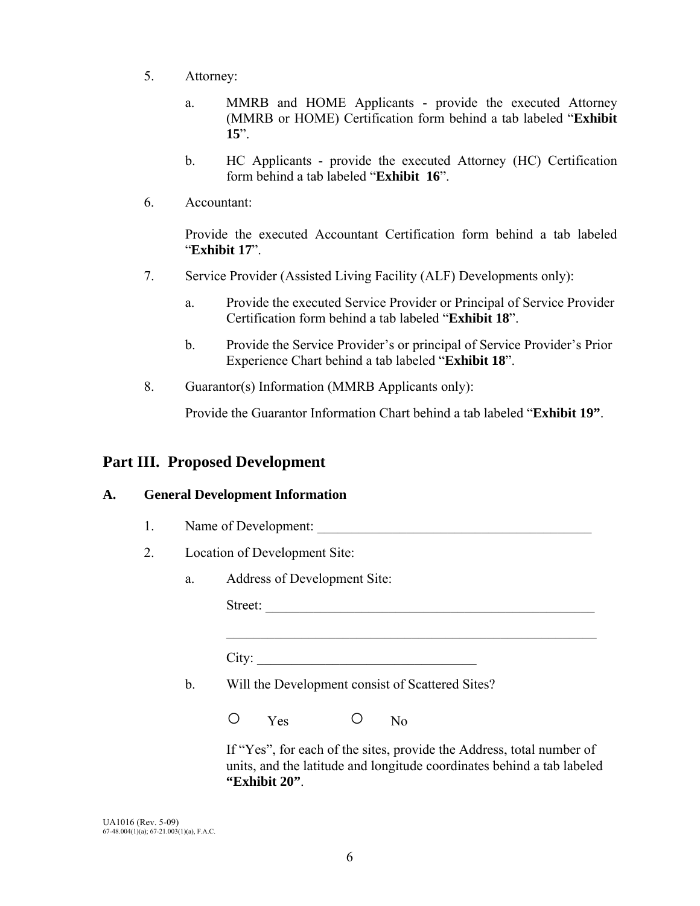- 5. Attorney:
	- a. MMRB and HOME Applicants provide the executed Attorney (MMRB or HOME) Certification form behind a tab labeled "**Exhibit 15**".
	- b. HC Applicants provide the executed Attorney (HC) Certification form behind a tab labeled "**Exhibit 16**".
- 6. Accountant:

Provide the executed Accountant Certification form behind a tab labeled "**Exhibit 17**".

- 7. Service Provider (Assisted Living Facility (ALF) Developments only):
	- a. Provide the executed Service Provider or Principal of Service Provider Certification form behind a tab labeled "**Exhibit 18**".
	- b. Provide the Service Provider's or principal of Service Provider's Prior Experience Chart behind a tab labeled "**Exhibit 18**".
- 8. Guarantor(s) Information (MMRB Applicants only):

Provide the Guarantor Information Chart behind a tab labeled "**Exhibit 19"**.

## **Part III. Proposed Development**

### **A. General Development Information**

- 1. Name of Development:
- 2. Location of Development Site:
	- a. Address of Development Site:

Street: \_\_\_\_\_\_\_\_\_\_\_\_\_\_\_\_\_\_\_\_\_\_\_\_\_\_\_\_\_\_\_\_\_\_\_\_\_\_\_\_\_\_\_\_\_\_\_\_

City:

b. Will the Development consist of Scattered Sites?

 $\mathcal{L}_\mathcal{L} = \{ \mathcal{L}_\mathcal{L} = \{ \mathcal{L}_\mathcal{L} = \{ \mathcal{L}_\mathcal{L} = \{ \mathcal{L}_\mathcal{L} = \{ \mathcal{L}_\mathcal{L} = \{ \mathcal{L}_\mathcal{L} = \{ \mathcal{L}_\mathcal{L} = \{ \mathcal{L}_\mathcal{L} = \{ \mathcal{L}_\mathcal{L} = \{ \mathcal{L}_\mathcal{L} = \{ \mathcal{L}_\mathcal{L} = \{ \mathcal{L}_\mathcal{L} = \{ \mathcal{L}_\mathcal{L} = \{ \mathcal{L}_\mathcal{$ 

O Yes O No

 If "Yes", for each of the sites, provide the Address, total number of units, and the latitude and longitude coordinates behind a tab labeled **"Exhibit 20"**.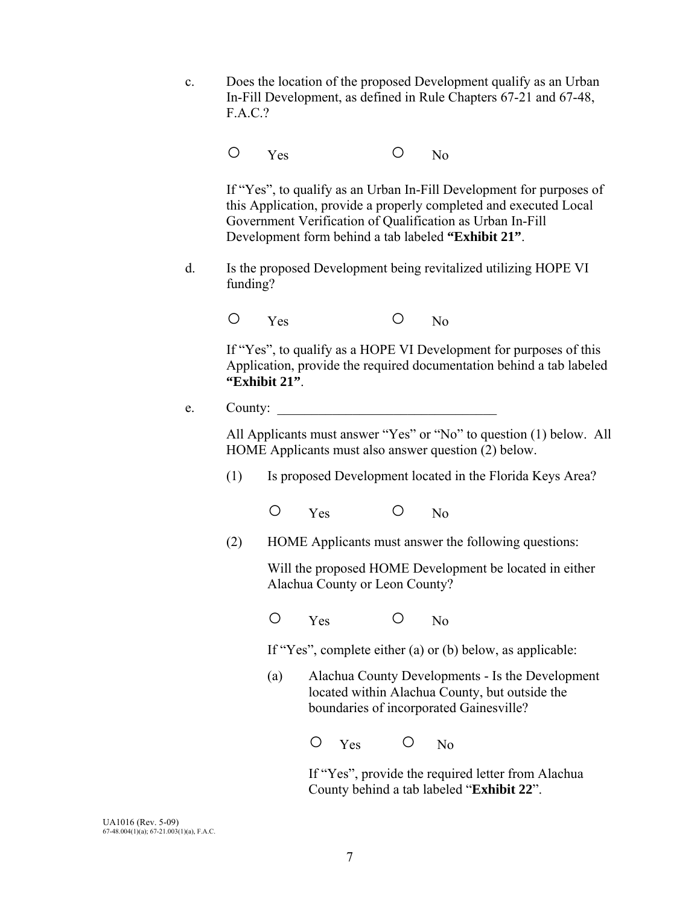c. Does the location of the proposed Development qualify as an Urban In-Fill Development, as defined in Rule Chapters 67-21 and 67-48, F.A.C.?

O Yes O No

 If "Yes", to qualify as an Urban In-Fill Development for purposes of this Application, provide a properly completed and executed Local Government Verification of Qualification as Urban In-Fill Development form behind a tab labeled **"Exhibit 21"**.

 d. Is the proposed Development being revitalized utilizing HOPE VI funding?

O Yes O No

 If "Yes", to qualify as a HOPE VI Development for purposes of this Application, provide the required documentation behind a tab labeled **"Exhibit 21"**.

#### $e.$  County:  $\_\_$

 All Applicants must answer "Yes" or "No" to question (1) below. All HOME Applicants must also answer question (2) below.

- (1) Is proposed Development located in the Florida Keys Area?
	- O Yes O No
- (2) HOME Applicants must answer the following questions:

 Will the proposed HOME Development be located in either Alachua County or Leon County?

O Yes O No

If "Yes", complete either (a) or (b) below, as applicable:

 (a) Alachua County Developments - Is the Development located within Alachua County, but outside the boundaries of incorporated Gainesville?

O Yes O No

 If "Yes", provide the required letter from Alachua County behind a tab labeled "**Exhibit 22**".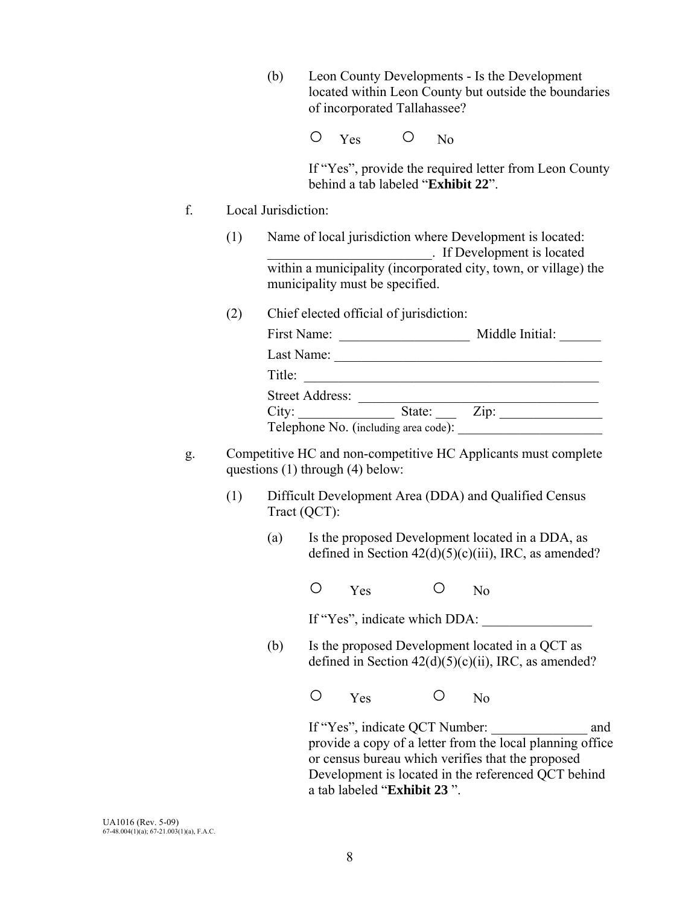(b) Leon County Developments - Is the Development located within Leon County but outside the boundaries of incorporated Tallahassee?

O Yes O No

 If "Yes", provide the required letter from Leon County behind a tab labeled "**Exhibit 22**".

- f. Local Jurisdiction:
	- (1) Name of local jurisdiction where Development is located: \_\_\_\_\_\_\_\_\_\_\_\_\_\_\_\_\_\_\_\_\_\_\_\_. If Development is located within a municipality (incorporated city, town, or village) the municipality must be specified.
	- (2) Chief elected official of jurisdiction:

| First Name:                          |        | Middle Initial: |
|--------------------------------------|--------|-----------------|
| Last Name:                           |        |                 |
| Title:                               |        |                 |
| <b>Street Address:</b>               |        |                 |
| City:                                | State: | Zip:            |
| Telephone No. (including area code): |        |                 |

- g. Competitive HC and non-competitive HC Applicants must complete questions (1) through (4) below:
	- (1) Difficult Development Area (DDA) and Qualified Census Tract (QCT):
		- (a) Is the proposed Development located in a DDA, as defined in Section  $42(d)(5)(c)(iii)$ , IRC, as amended?

O Yes O No

If "Yes", indicate which DDA:

(b) Is the proposed Development located in a QCT as defined in Section  $42(d)(5)(c)(ii)$ , IRC, as amended?

O Yes O No

If "Yes", indicate QCT Number: and provide a copy of a letter from the local planning office or census bureau which verifies that the proposed Development is located in the referenced QCT behind a tab labeled "**Exhibit 23** ".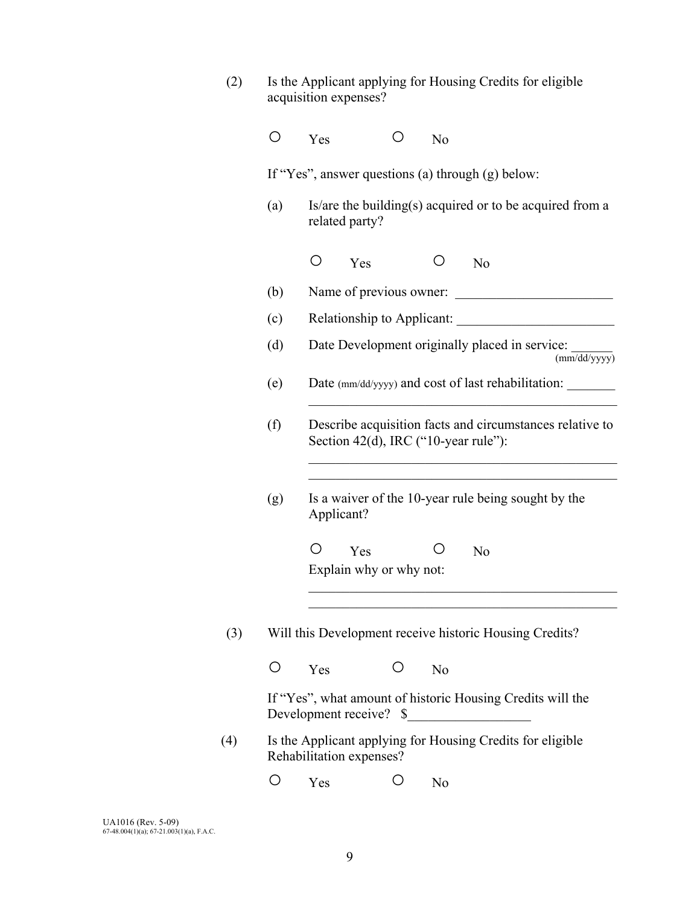| (2) |            | Is the Applicant applying for Housing Credits for eligible<br>acquisition expenses?                                                     |
|-----|------------|-----------------------------------------------------------------------------------------------------------------------------------------|
|     | O          | Yes<br>Ő<br>N <sub>0</sub>                                                                                                              |
|     |            | If "Yes", answer questions (a) through (g) below:                                                                                       |
|     | (a)        | Is/are the building(s) acquired or to be acquired from a<br>related party?                                                              |
|     |            | O<br>O<br>Yes<br>N <sub>o</sub>                                                                                                         |
|     | (b)        | Name of previous owner:                                                                                                                 |
|     | (c)        |                                                                                                                                         |
|     | (d)        | Date Development originally placed in service:<br>(mm/dd/yyyy)                                                                          |
|     | (e)        | Date (mm/dd/yyyy) and cost of last rehabilitation:                                                                                      |
|     | (f)        | Describe acquisition facts and circumstances relative to<br>Section 42(d), IRC ("10-year rule"):                                        |
|     | (g)        | Is a waiver of the 10-year rule being sought by the<br>Applicant?                                                                       |
|     |            | O<br>Ő<br>Yes<br>N <sub>o</sub><br>Explain why or why not:                                                                              |
| (3) |            | Will this Development receive historic Housing Credits?                                                                                 |
|     | $\bigcirc$ | Ő<br>Yes<br>N <sub>o</sub>                                                                                                              |
|     |            | If "Yes", what amount of historic Housing Credits will the<br>Development receive? \$<br><u> 1989 - Johann Stoff, Amerikaansk konst</u> |
| (4) |            | Is the Applicant applying for Housing Credits for eligible<br>Rehabilitation expenses?                                                  |
|     | O          | O<br>Yes<br>N <sub>o</sub>                                                                                                              |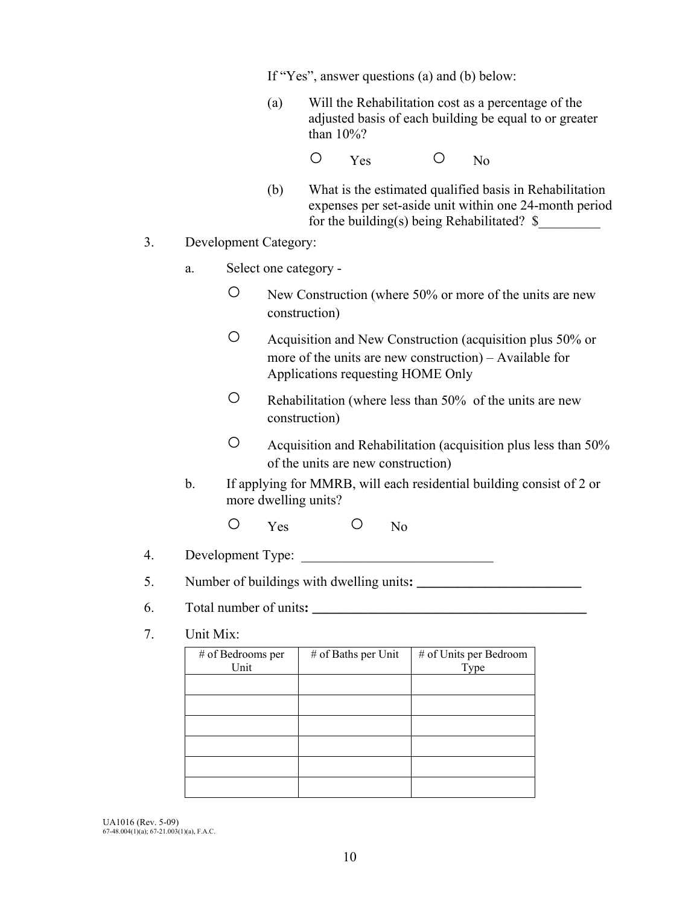If "Yes", answer questions (a) and (b) below:

- (a) Will the Rehabilitation cost as a percentage of the adjusted basis of each building be equal to or greater than 10%?
- O Yes O No
	- (b) What is the estimated qualified basis in Rehabilitation expenses per set-aside unit within one 24-month period for the building(s) being Rehabilitated?  $\$
- 3. Development Category:
	- a. Select one category
		- New Construction (where 50% or more of the units are new construction)
		- Acquisition and New Construction (acquisition plus 50% or more of the units are new construction) – Available for Applications requesting HOME Only
		- Rehabilitation (where less than 50% of the units are new construction)
		- Acquisition and Rehabilitation (acquisition plus less than 50% of the units are new construction)
	- b. If applying for MMRB, will each residential building consist of 2 or more dwelling units?
		- O Yes O No
- 4. Development Type:

5. Number of buildings with dwelling units:

- 6. Total number of units**: \_\_\_\_\_\_\_\_\_\_\_\_\_\_\_\_\_\_\_\_\_\_\_\_\_\_\_\_\_\_\_\_\_\_\_\_\_\_\_\_**
- 7. Unit Mix:

| # of Bedrooms per<br>Unit | # of Baths per Unit | # of Units per Bedroom<br>Type |
|---------------------------|---------------------|--------------------------------|
|                           |                     |                                |
|                           |                     |                                |
|                           |                     |                                |
|                           |                     |                                |
|                           |                     |                                |
|                           |                     |                                |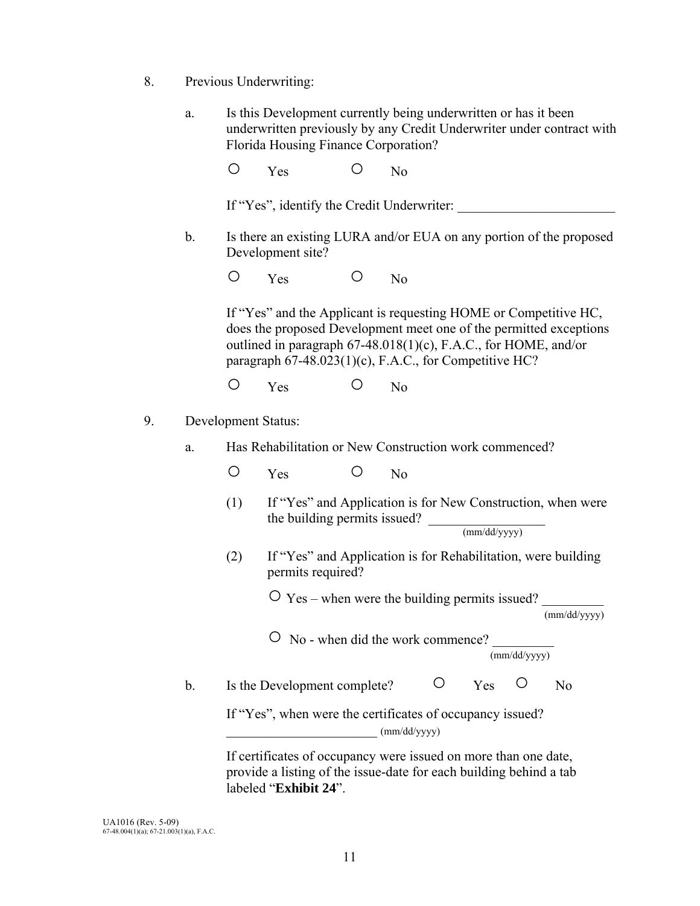- 8. Previous Underwriting:
	- a. Is this Development currently being underwritten or has it been underwritten previously by any Credit Underwriter under contract with Florida Housing Finance Corporation?

O Yes O No

If "Yes", identify the Credit Underwriter:

 b. Is there an existing LURA and/or EUA on any portion of the proposed Development site?

O Yes O No

 If "Yes" and the Applicant is requesting HOME or Competitive HC, does the proposed Development meet one of the permitted exceptions outlined in paragraph 67-48.018(1)(c), F.A.C., for HOME, and/or paragraph  $67-48.023(1)(c)$ , F.A.C., for Competitive HC?

O Yes O No

- 9. Development Status:
	- a. Has Rehabilitation or New Construction work commenced?
		- O Yes O No
		- (1) If "Yes" and Application is for New Construction, when were the building permits issued?  $\frac{1}{\text{mm}/\text{dd}/\text{vvv}}$
		- (2) If "Yes" and Application is for Rehabilitation, were building permits required?

 $\overrightarrow{O}$  Yes – when were the building permits issued?  $\frac{1}{\text{(mm/dd/vvvv)}}$ 

(mm/dd/yyyy)

 $\circ$  No - when did the work commence?

(mm/dd/yyyy)

b. Is the Development complete?  $\overline{O}$  Yes  $\overline{O}$  No

 If "Yes", when were the certificates of occupancy issued?  $(mm/dd/yyyy)$ 

 If certificates of occupancy were issued on more than one date, provide a listing of the issue-date for each building behind a tab labeled "**Exhibit 24**".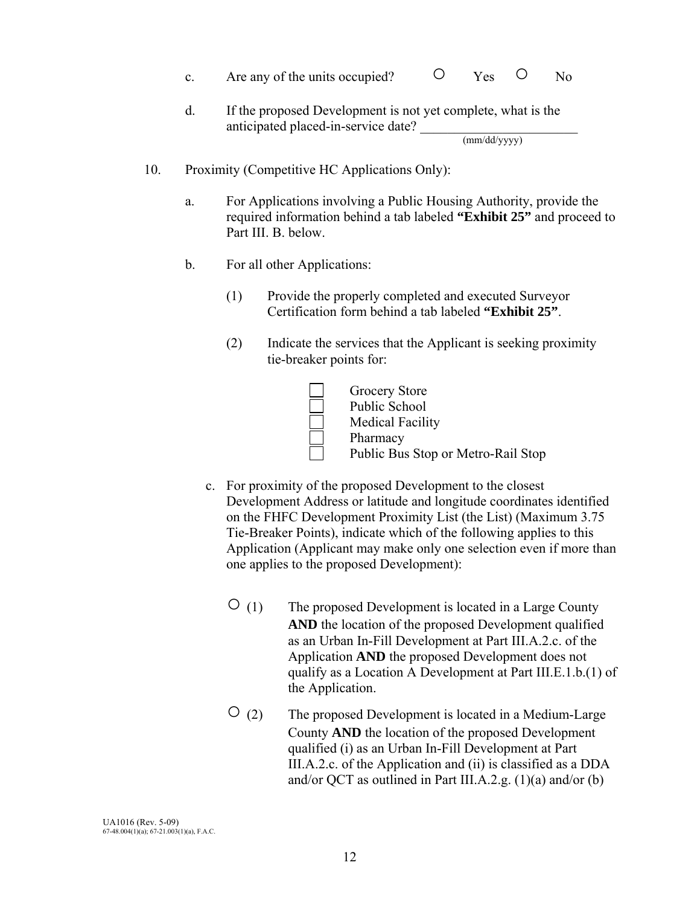- c. Are any of the units occupied?  $\overline{O}$  Yes  $\overline{O}$  No
- d. If the proposed Development is not yet complete, what is the anticipated placed-in-service date? \_\_\_\_\_\_\_\_\_\_\_\_\_\_\_\_\_\_\_\_\_\_\_ (mm/dd/yyyy)

- 10. Proximity (Competitive HC Applications Only):
	- a. For Applications involving a Public Housing Authority, provide the required information behind a tab labeled **"Exhibit 25"** and proceed to Part III. B. below.
	- b. For all other Applications:
		- (1) Provide the properly completed and executed Surveyor Certification form behind a tab labeled **"Exhibit 25"**.
		- (2) Indicate the services that the Applicant is seeking proximity tie-breaker points for:



- c. For proximity of the proposed Development to the closest Development Address or latitude and longitude coordinates identified on the FHFC Development Proximity List (the List) (Maximum 3.75 Tie-Breaker Points), indicate which of the following applies to this Application (Applicant may make only one selection even if more than one applies to the proposed Development):
	- $\overline{O}$  (1) The proposed Development is located in a Large County **AND** the location of the proposed Development qualified as an Urban In-Fill Development at Part III.A.2.c. of the Application **AND** the proposed Development does not qualify as a Location A Development at Part III.E.1.b.(1) of the Application.
	- $\overline{O}$  (2) The proposed Development is located in a Medium-Large County **AND** the location of the proposed Development qualified (i) as an Urban In-Fill Development at Part III.A.2.c. of the Application and (ii) is classified as a DDA and/or QCT as outlined in Part III.A.2.g.  $(1)(a)$  and/or  $(b)$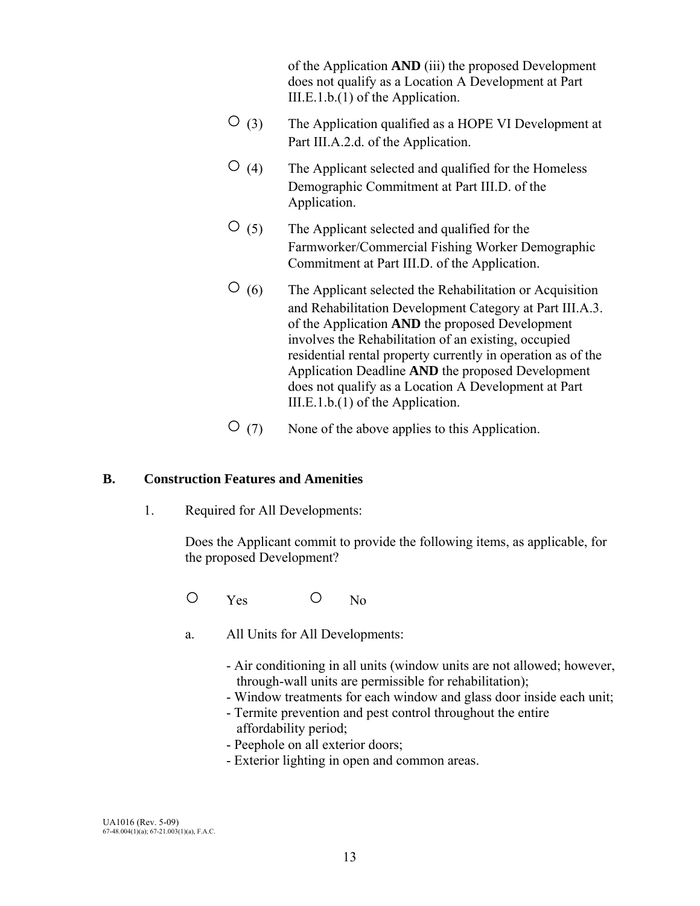of the Application **AND** (iii) the proposed Development does not qualify as a Location A Development at Part III.E.1.b.(1) of the Application.

- $\overline{O}$  (3) The Application qualified as a HOPE VI Development at Part III.A.2.d. of the Application.
- $\overline{O}$  (4) The Applicant selected and qualified for the Homeless Demographic Commitment at Part III.D. of the Application.
- $\circ$  (5) The Applicant selected and qualified for the Farmworker/Commercial Fishing Worker Demographic Commitment at Part III.D. of the Application.
- $\overline{O}$  (6) The Applicant selected the Rehabilitation or Acquisition and Rehabilitation Development Category at Part III.A.3. of the Application **AND** the proposed Development involves the Rehabilitation of an existing, occupied residential rental property currently in operation as of the Application Deadline **AND** the proposed Development does not qualify as a Location A Development at Part III.E.1.b.(1) of the Application.
- $\overline{O}$  (7) None of the above applies to this Application.

### **B. Construction Features and Amenities**

1. Required for All Developments:

Does the Applicant commit to provide the following items, as applicable, for the proposed Development?

- O Yes O No
- a. All Units for All Developments:
	- Air conditioning in all units (window units are not allowed; however, through-wall units are permissible for rehabilitation);
	- Window treatments for each window and glass door inside each unit;
	- Termite prevention and pest control throughout the entire affordability period;
	- Peephole on all exterior doors;
	- Exterior lighting in open and common areas.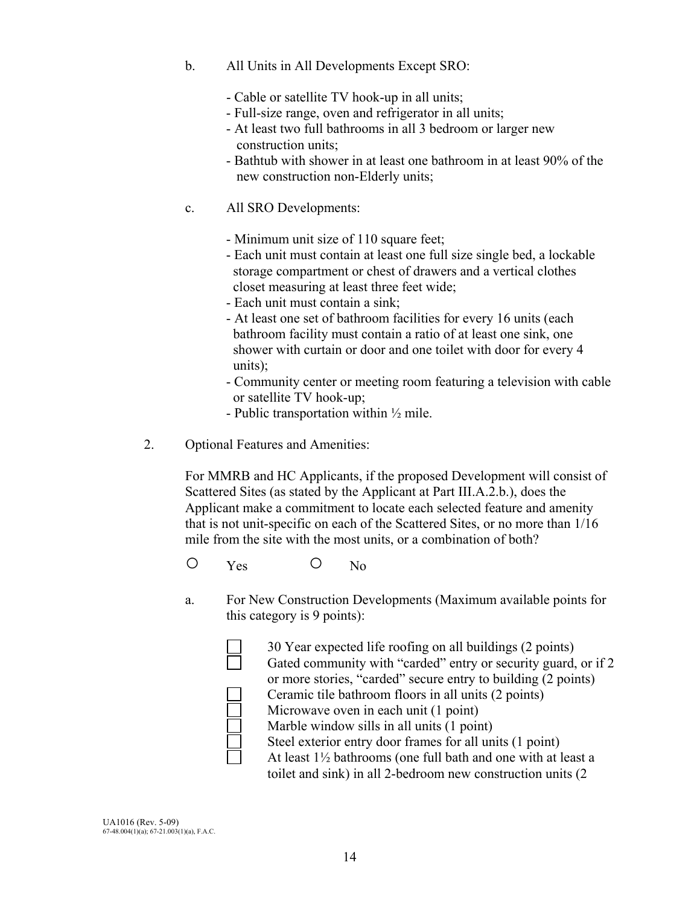- b. All Units in All Developments Except SRO:
	- Cable or satellite TV hook-up in all units;
	- Full-size range, oven and refrigerator in all units;
	- At least two full bathrooms in all 3 bedroom or larger new construction units;
	- Bathtub with shower in at least one bathroom in at least 90% of the new construction non-Elderly units;
- c. All SRO Developments:
	- Minimum unit size of 110 square feet;
	- Each unit must contain at least one full size single bed, a lockable storage compartment or chest of drawers and a vertical clothes closet measuring at least three feet wide;
	- Each unit must contain a sink;
	- At least one set of bathroom facilities for every 16 units (each bathroom facility must contain a ratio of at least one sink, one shower with curtain or door and one toilet with door for every 4 units);
	- Community center or meeting room featuring a television with cable or satellite TV hook-up;
	- Public transportation within  $\frac{1}{2}$  mile.
- 2. Optional Features and Amenities:

 For MMRB and HC Applicants, if the proposed Development will consist of Scattered Sites (as stated by the Applicant at Part III.A.2.b.), does the Applicant make a commitment to locate each selected feature and amenity that is not unit-specific on each of the Scattered Sites, or no more than 1/16 mile from the site with the most units, or a combination of both?

- O Yes O No
- a. For New Construction Developments (Maximum available points for this category is 9 points):
	- 30 Year expected life roofing on all buildings (2 points) Gated community with "carded" entry or security guard, or if 2 or more stories, "carded" secure entry to building (2 points) Ceramic tile bathroom floors in all units (2 points) Microwave oven in each unit (1 point) Marble window sills in all units (1 point) Steel exterior entry door frames for all units (1 point)

 At least 1½ bathrooms (one full bath and one with at least a toilet and sink) in all 2-bedroom new construction units (2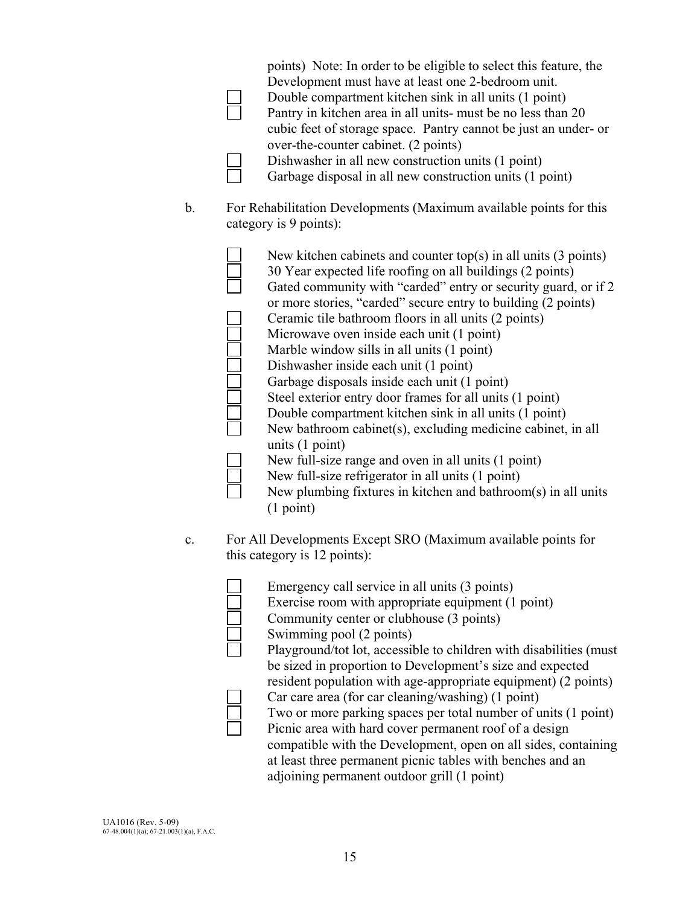|    | points) Note: In order to be eligible to select this feature, the<br>Development must have at least one 2-bedroom unit.<br>Double compartment kitchen sink in all units (1 point)<br>Pantry in kitchen area in all units- must be no less than 20<br>cubic feet of storage space. Pantry cannot be just an under- or<br>over-the-counter cabinet. (2 points)<br>Dishwasher in all new construction units (1 point)<br>Garbage disposal in all new construction units (1 point)                                                                                                                                                                                                                                                                                                                                                                                                                                            |
|----|---------------------------------------------------------------------------------------------------------------------------------------------------------------------------------------------------------------------------------------------------------------------------------------------------------------------------------------------------------------------------------------------------------------------------------------------------------------------------------------------------------------------------------------------------------------------------------------------------------------------------------------------------------------------------------------------------------------------------------------------------------------------------------------------------------------------------------------------------------------------------------------------------------------------------|
| b. | For Rehabilitation Developments (Maximum available points for this<br>category is 9 points):                                                                                                                                                                                                                                                                                                                                                                                                                                                                                                                                                                                                                                                                                                                                                                                                                              |
|    | New kitchen cabinets and counter top(s) in all units $(3 \text{ points})$<br>30 Year expected life roofing on all buildings (2 points)<br>Gated community with "carded" entry or security guard, or if 2<br>or more stories, "carded" secure entry to building (2 points)<br>Ceramic tile bathroom floors in all units (2 points)<br>Microwave oven inside each unit (1 point)<br>Marble window sills in all units (1 point)<br>Dishwasher inside each unit (1 point)<br>Garbage disposals inside each unit (1 point)<br>Steel exterior entry door frames for all units (1 point)<br>Double compartment kitchen sink in all units (1 point)<br>New bathroom cabinet(s), excluding medicine cabinet, in all<br>units $(1 point)$<br>New full-size range and oven in all units (1 point)<br>New full-size refrigerator in all units (1 point)<br>New plumbing fixtures in kitchen and bathroom(s) in all units<br>(1 point) |
| c. | For All Developments Except SRO (Maximum available points for<br>this category is 12 points):                                                                                                                                                                                                                                                                                                                                                                                                                                                                                                                                                                                                                                                                                                                                                                                                                             |
|    | Emergency call service in all units (3 points)<br>Exercise room with appropriate equipment (1 point)<br>Community center or clubhouse (3 points)<br>Swimming pool (2 points)<br>Playground/tot lot, accessible to children with disabilities (must<br>be sized in proportion to Development's size and expected<br>resident population with age-appropriate equipment) (2 points)                                                                                                                                                                                                                                                                                                                                                                                                                                                                                                                                         |

- 
- Car care area (for car cleaning/washing) (1 point)<br>Two or more parking spaces per total number of u<br>Picnic area with hard cover permanent roof of a de Two or more parking spaces per total number of units (1 point) Picnic area with hard cover permanent roof of a design

compatible with the Development, open on all sides, containing at least three permanent picnic tables with benches and an adjoining permanent outdoor grill (1 point)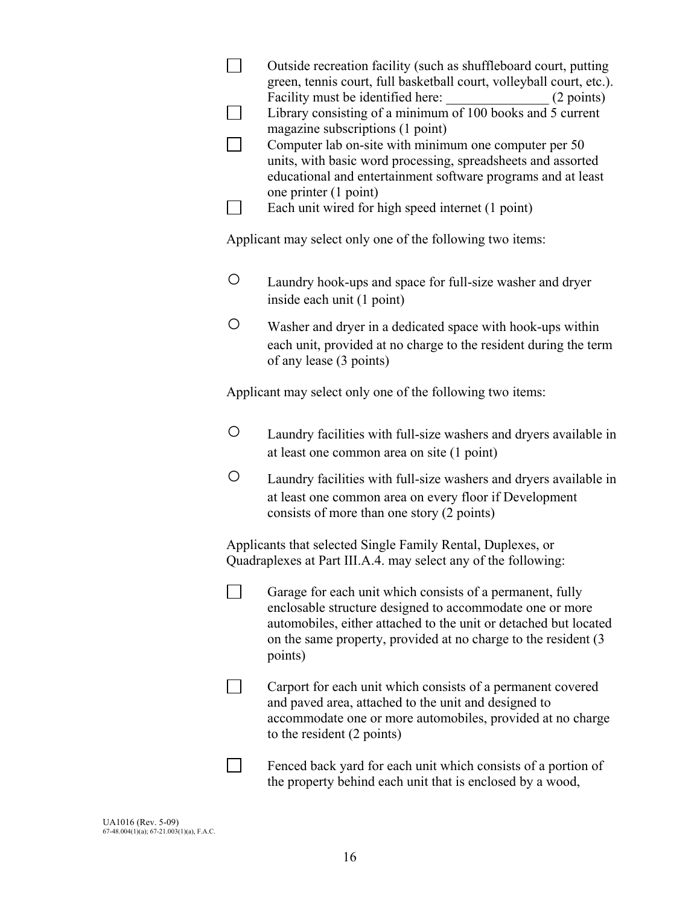|         | Outside recreation facility (such as shuffleboard court, putting<br>green, tennis court, full basketball court, volleyball court, etc.).<br>(2 points)<br>Library consisting of a minimum of 100 books and 5 current<br>magazine subscriptions (1 point)<br>Computer lab on-site with minimum one computer per 50<br>units, with basic word processing, spreadsheets and assorted<br>educational and entertainment software programs and at least<br>one printer (1 point)<br>Each unit wired for high speed internet (1 point) |
|---------|---------------------------------------------------------------------------------------------------------------------------------------------------------------------------------------------------------------------------------------------------------------------------------------------------------------------------------------------------------------------------------------------------------------------------------------------------------------------------------------------------------------------------------|
|         | Applicant may select only one of the following two items:                                                                                                                                                                                                                                                                                                                                                                                                                                                                       |
| $\circ$ | Laundry hook-ups and space for full-size washer and dryer<br>inside each unit (1 point)                                                                                                                                                                                                                                                                                                                                                                                                                                         |
| O       | Washer and dryer in a dedicated space with hook-ups within<br>each unit, provided at no charge to the resident during the term<br>of any lease (3 points)                                                                                                                                                                                                                                                                                                                                                                       |
|         | Applicant may select only one of the following two items:                                                                                                                                                                                                                                                                                                                                                                                                                                                                       |
| O       | Laundry facilities with full-size washers and dryers available in<br>at least one common area on site (1 point)                                                                                                                                                                                                                                                                                                                                                                                                                 |
| $\circ$ | Laundry facilities with full-size washers and dryers available in<br>at least one common area on every floor if Development<br>consists of more than one story (2 points)                                                                                                                                                                                                                                                                                                                                                       |
|         | Applicants that selected Single Family Rental, Duplexes, or<br>Quadraplexes at Part III.A.4. may select any of the following:                                                                                                                                                                                                                                                                                                                                                                                                   |
|         | Garage for each unit which consists of a permanent, fully<br>enclosable structure designed to accommodate one or more<br>automobiles, either attached to the unit or detached but located<br>on the same property, provided at no charge to the resident (3<br>points)                                                                                                                                                                                                                                                          |
|         | Carport for each unit which consists of a permanent covered<br>and paved area, attached to the unit and designed to<br>accommodate one or more automobiles, provided at no charge<br>to the resident (2 points)                                                                                                                                                                                                                                                                                                                 |
|         | Fenced back yard for each unit which consists of a portion of<br>the property behind each unit that is enclosed by a wood,                                                                                                                                                                                                                                                                                                                                                                                                      |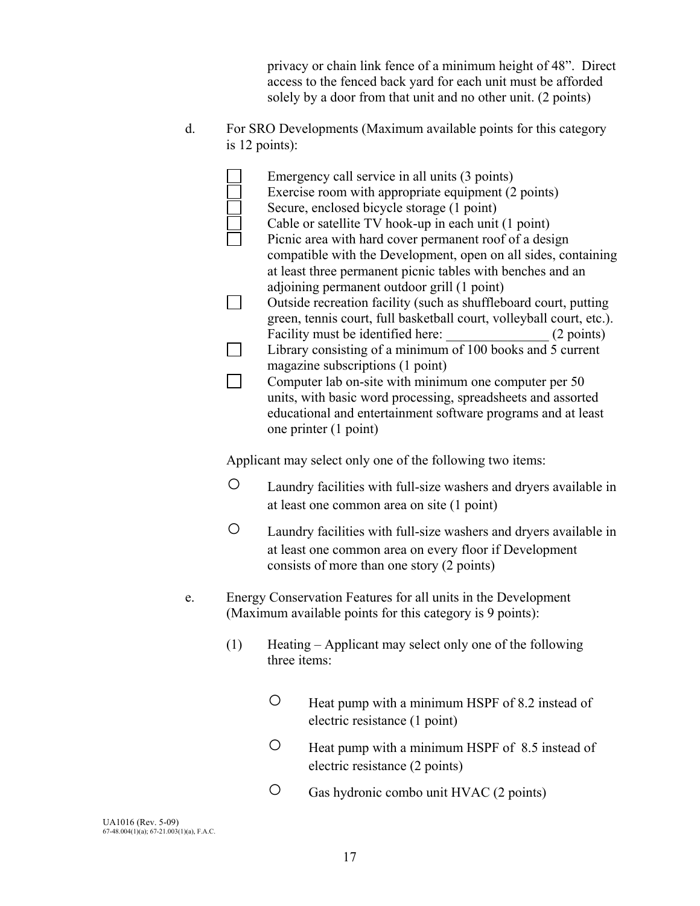privacy or chain link fence of a minimum height of 48". Direct access to the fenced back yard for each unit must be afforded solely by a door from that unit and no other unit. (2 points)

d. For SRO Developments (Maximum available points for this category is 12 points):

|    |     | Emergency call service in all units (3 points)<br>Exercise room with appropriate equipment (2 points)<br>Secure, enclosed bicycle storage (1 point)<br>Cable or satellite TV hook-up in each unit (1 point)<br>Picnic area with hard cover permanent roof of a design<br>compatible with the Development, open on all sides, containing<br>at least three permanent picnic tables with benches and an<br>adjoining permanent outdoor grill (1 point)<br>Outside recreation facility (such as shuffleboard court, putting<br>green, tennis court, full basketball court, volleyball court, etc.).<br>Facility must be identified here:<br>(2 points)<br>Library consisting of a minimum of 100 books and 5 current<br>magazine subscriptions (1 point)<br>Computer lab on-site with minimum one computer per 50<br>units, with basic word processing, spreadsheets and assorted<br>educational and entertainment software programs and at least<br>one printer (1 point) |
|----|-----|-------------------------------------------------------------------------------------------------------------------------------------------------------------------------------------------------------------------------------------------------------------------------------------------------------------------------------------------------------------------------------------------------------------------------------------------------------------------------------------------------------------------------------------------------------------------------------------------------------------------------------------------------------------------------------------------------------------------------------------------------------------------------------------------------------------------------------------------------------------------------------------------------------------------------------------------------------------------------|
|    |     | Applicant may select only one of the following two items:                                                                                                                                                                                                                                                                                                                                                                                                                                                                                                                                                                                                                                                                                                                                                                                                                                                                                                               |
|    | O   | Laundry facilities with full-size washers and dryers available in<br>at least one common area on site (1 point)                                                                                                                                                                                                                                                                                                                                                                                                                                                                                                                                                                                                                                                                                                                                                                                                                                                         |
|    | O   | Laundry facilities with full-size washers and dryers available in<br>at least one common area on every floor if Development<br>consists of more than one story (2 points)                                                                                                                                                                                                                                                                                                                                                                                                                                                                                                                                                                                                                                                                                                                                                                                               |
| e. |     | Energy Conservation Features for all units in the Development<br>(Maximum available points for this category is 9 points):                                                                                                                                                                                                                                                                                                                                                                                                                                                                                                                                                                                                                                                                                                                                                                                                                                              |
|    | (1) | Heating – Applicant may select only one of the following<br>three items:                                                                                                                                                                                                                                                                                                                                                                                                                                                                                                                                                                                                                                                                                                                                                                                                                                                                                                |

- Heat pump with a minimum HSPF of 8.2 instead of electric resistance (1 point)
- Heat pump with a minimum HSPF of 8.5 instead of electric resistance (2 points)
- Gas hydronic combo unit HVAC (2 points)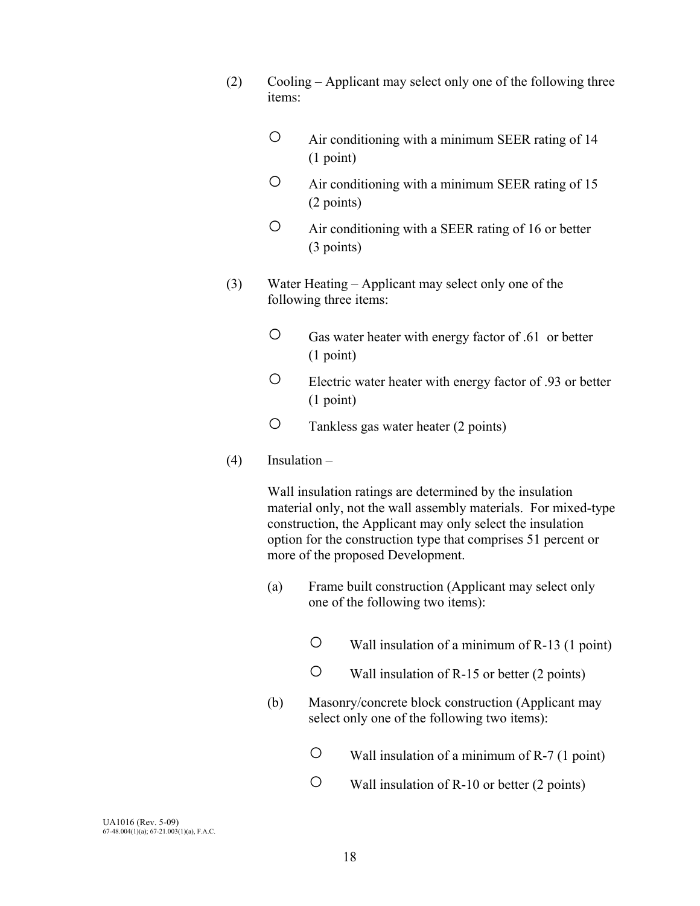- (2) Cooling Applicant may select only one of the following three items:
	- Air conditioning with a minimum SEER rating of 14 (1 point)
	- Air conditioning with a minimum SEER rating of 15 (2 points)
	- Air conditioning with a SEER rating of 16 or better (3 points)
- (3) Water Heating Applicant may select only one of the following three items:
	- Gas water heater with energy factor of .61 or better (1 point)
	- Electric water heater with energy factor of .93 or better (1 point)
	- Tankless gas water heater (2 points)
- (4) Insulation –

Wall insulation ratings are determined by the insulation material only, not the wall assembly materials. For mixed-type construction, the Applicant may only select the insulation option for the construction type that comprises 51 percent or more of the proposed Development.

- (a) Frame built construction (Applicant may select only one of the following two items):
	- $\circ$  Wall insulation of a minimum of R-13 (1 point)
	- Wall insulation of R-15 or better (2 points)
- (b) Masonry/concrete block construction (Applicant may select only one of the following two items):
	- Wall insulation of a minimum of R-7 (1 point)
	- Wall insulation of R-10 or better (2 points)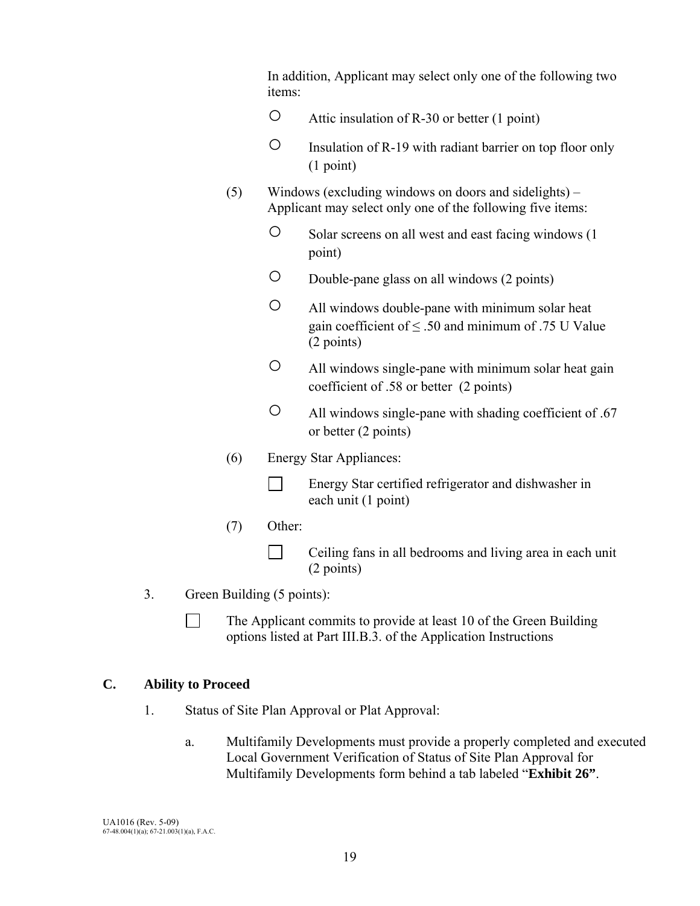In addition, Applicant may select only one of the following two items:

- Attic insulation of R-30 or better (1 point)
- Insulation of R-19 with radiant barrier on top floor only (1 point)
- (5) Windows (excluding windows on doors and sidelights) Applicant may select only one of the following five items:
	- Solar screens on all west and east facing windows (1 point)
	- Double-pane glass on all windows (2 points)
	- All windows double-pane with minimum solar heat gain coefficient of  $\leq$  .50 and minimum of .75 U Value (2 points)
	- All windows single-pane with minimum solar heat gain coefficient of .58 or better (2 points)
	- All windows single-pane with shading coefficient of .67 or better (2 points)
- (6) Energy Star Appliances:
	- Energy Star certified refrigerator and dishwasher in each unit (1 point)
- (7) Other:
	- $\Box$  Ceiling fans in all bedrooms and living area in each unit (2 points)
- 3. Green Building (5 points):
	- The Applicant commits to provide at least 10 of the Green Building options listed at Part III.B.3. of the Application Instructions

## **C. Ability to Proceed**

- 1. Status of Site Plan Approval or Plat Approval:
	- a. Multifamily Developments must provide a properly completed and executed Local Government Verification of Status of Site Plan Approval for Multifamily Developments form behind a tab labeled "**Exhibit 26"**.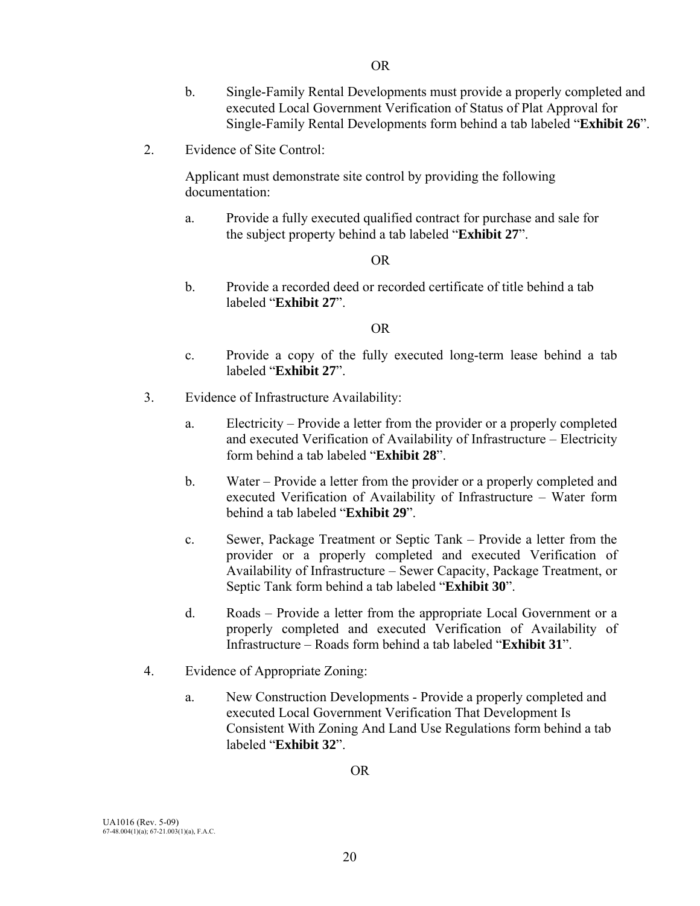- b. Single-Family Rental Developments must provide a properly completed and executed Local Government Verification of Status of Plat Approval for Single-Family Rental Developments form behind a tab labeled "**Exhibit 26**".
- 2. Evidence of Site Control:

 Applicant must demonstrate site control by providing the following documentation:

 a. Provide a fully executed qualified contract for purchase and sale for the subject property behind a tab labeled "**Exhibit 27**".

#### OR

 b. Provide a recorded deed or recorded certificate of title behind a tab labeled "**Exhibit 27**".

#### OR

- c. Provide a copy of the fully executed long-term lease behind a tab labeled "**Exhibit 27**".
- 3. Evidence of Infrastructure Availability:
	- a. Electricity Provide a letter from the provider or a properly completed and executed Verification of Availability of Infrastructure – Electricity form behind a tab labeled "**Exhibit 28**".
	- b. Water Provide a letter from the provider or a properly completed and executed Verification of Availability of Infrastructure – Water form behind a tab labeled "**Exhibit 29**".
	- c. Sewer, Package Treatment or Septic Tank Provide a letter from the provider or a properly completed and executed Verification of Availability of Infrastructure – Sewer Capacity, Package Treatment, or Septic Tank form behind a tab labeled "**Exhibit 30**".
	- d. Roads Provide a letter from the appropriate Local Government or a properly completed and executed Verification of Availability of Infrastructure – Roads form behind a tab labeled "**Exhibit 31**".
- 4. Evidence of Appropriate Zoning:
	- a. New Construction Developments Provide a properly completed and executed Local Government Verification That Development Is Consistent With Zoning And Land Use Regulations form behind a tab labeled "**Exhibit 32**".

OR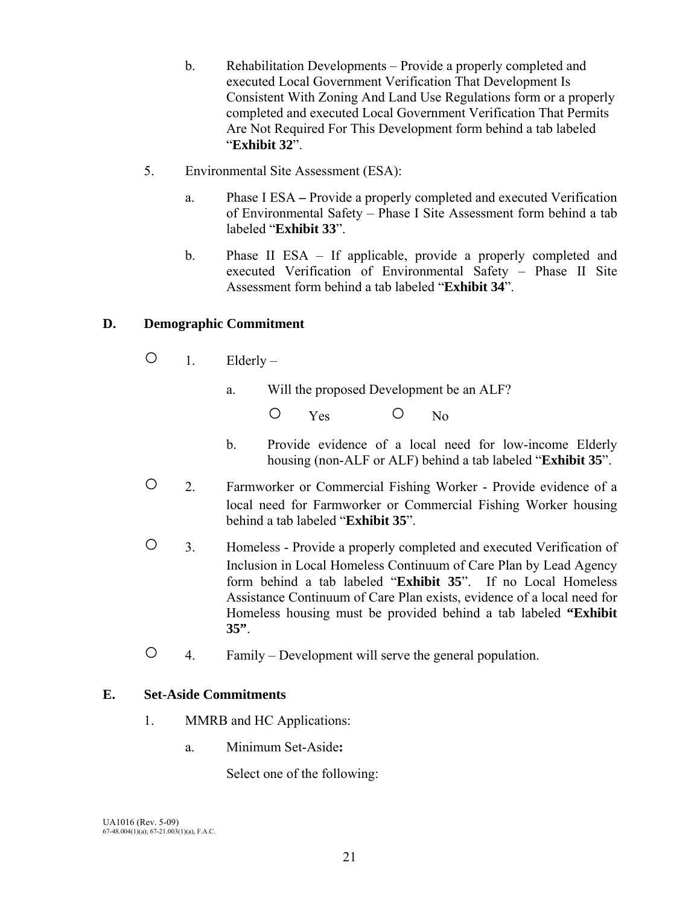- b. Rehabilitation Developments Provide a properly completed and executed Local Government Verification That Development Is Consistent With Zoning And Land Use Regulations form or a properly completed and executed Local Government Verification That Permits Are Not Required For This Development form behind a tab labeled "**Exhibit 32**".
- 5. Environmental Site Assessment (ESA):
	- a. Phase I ESAProvide a properly completed and executed Verification of Environmental Safety – Phase I Site Assessment form behind a tab labeled "**Exhibit 33**".
	- b. Phase II ESA If applicable, provide a properly completed and executed Verification of Environmental Safety – Phase II Site Assessment form behind a tab labeled "**Exhibit 34**".

## **D. Demographic Commitment**

- $O_1$ . Elderly
	- a. Will the proposed Development be an ALF?

O Yes O No

- b. Provide evidence of a local need for low-income Elderly housing (non-ALF or ALF) behind a tab labeled "**Exhibit 35**".
- 2. Farmworker or Commercial Fishing Worker Provide evidence of a local need for Farmworker or Commercial Fishing Worker housing behind a tab labeled "**Exhibit 35**".
- 3. Homeless Provide a properly completed and executed Verification of Inclusion in Local Homeless Continuum of Care Plan by Lead Agency form behind a tab labeled "**Exhibit 35**". If no Local Homeless Assistance Continuum of Care Plan exists, evidence of a local need for Homeless housing must be provided behind a tab labeled **"Exhibit 35"**.
- 4. Family Development will serve the general population.

## **E. Set-Aside Commitments**

- 1. MMRB and HC Applications:
	- a. Minimum Set-Aside**:**

Select one of the following: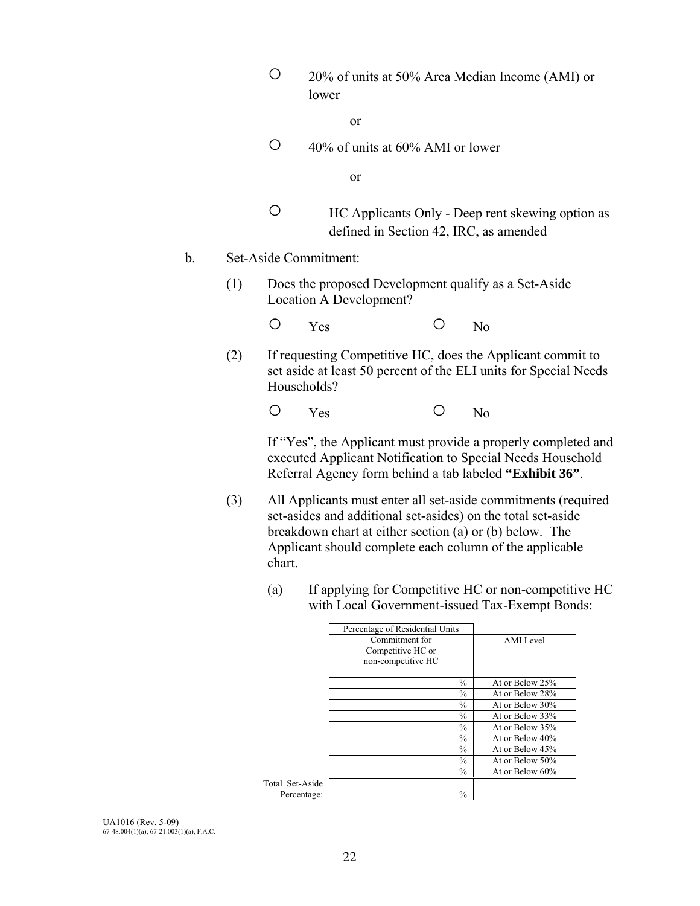○ 20% of units at 50% Area Median Income (AMI) or lower

or

 $\circ$  40% of units at 60% AMI or lower

or

- HC Applicants Only Deep rent skewing option as defined in Section 42, IRC, as amended
- b. Set-Aside Commitment:
	- (1) Does the proposed Development qualify as a Set-Aside Location A Development?
- Yes No
	- (2) If requesting Competitive HC, does the Applicant commit to set aside at least 50 percent of the ELI units for Special Needs Households?

O Yes O No

 If "Yes", the Applicant must provide a properly completed and executed Applicant Notification to Special Needs Household Referral Agency form behind a tab labeled **"Exhibit 36"**.

- (3) All Applicants must enter all set-aside commitments (required set-asides and additional set-asides) on the total set-aside breakdown chart at either section (a) or (b) below. The Applicant should complete each column of the applicable chart.
	- (a) If applying for Competitive HC or non-competitive HC with Local Government-issued Tax-Exempt Bonds:

|            | Percentage of Residential Units |                 |
|------------|---------------------------------|-----------------|
|            | Commitment for                  | AMI Level       |
|            | Competitive HC or               |                 |
|            | non-competitive HC              |                 |
|            |                                 |                 |
|            | $\frac{0}{0}$                   | At or Below 25% |
|            | $\frac{0}{0}$                   | At or Below 28% |
|            | $\frac{0}{0}$                   | At or Below 30% |
|            | $\frac{0}{0}$                   | At or Below 33% |
|            | $\frac{0}{0}$                   | At or Below 35% |
|            | $\frac{0}{0}$                   | At or Below 40% |
|            | $\frac{0}{0}$                   | At or Below 45% |
|            | $\frac{0}{0}$                   | At or Below 50% |
|            | $\frac{0}{0}$                   | At or Below 60% |
| Set-Aside  |                                 |                 |
| ercentage: | $\frac{0}{0}$                   |                 |
|            |                                 |                 |

Total Set-Aside Percentage: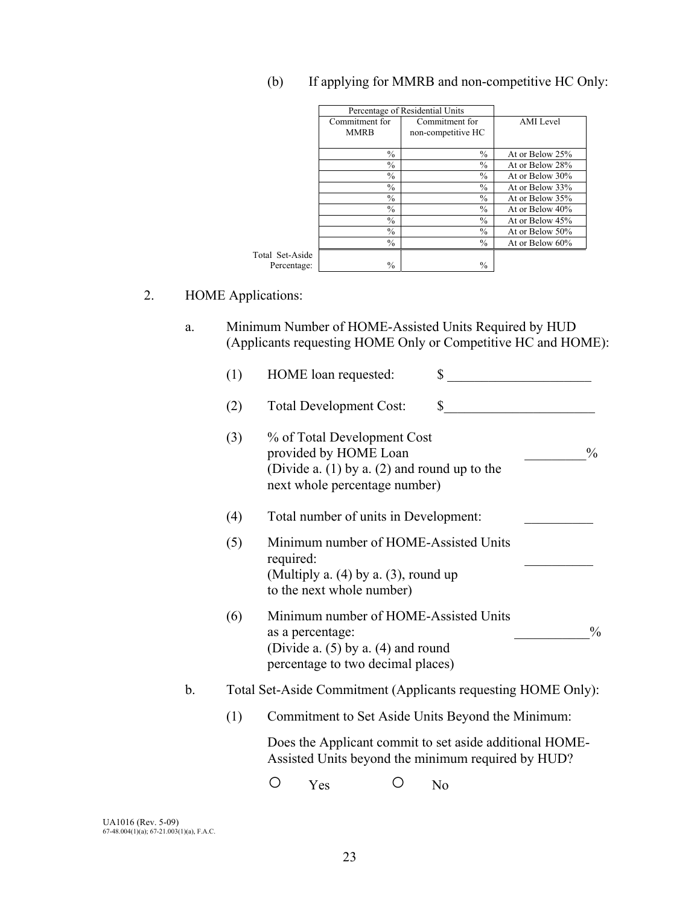|                 |                | Percentage of Residential Units |                  |
|-----------------|----------------|---------------------------------|------------------|
|                 | Commitment for | Commitment for                  | <b>AMI</b> Level |
|                 | <b>MMRB</b>    | non-competitive HC              |                  |
|                 | $\frac{0}{0}$  | $\frac{0}{0}$                   | At or Below 25%  |
|                 | $\frac{0}{0}$  | $\frac{0}{0}$                   | At or Below 28%  |
|                 | $\frac{0}{0}$  | $\frac{0}{0}$                   | At or Below 30%  |
|                 | $\frac{0}{0}$  | $\frac{0}{0}$                   | At or Below 33%  |
|                 | $\frac{0}{0}$  | $\frac{0}{0}$                   | At or Below 35%  |
|                 | $\frac{0}{0}$  | $\frac{0}{0}$                   | At or Below 40%  |
|                 | $\frac{0}{0}$  | $\frac{0}{0}$                   | At or Below 45%  |
|                 | $\frac{0}{0}$  | $\frac{0}{0}$                   | At or Below 50%  |
|                 | $\frac{0}{0}$  | $\frac{0}{0}$                   | At or Below 60%  |
| Total Set-Aside |                |                                 |                  |
| Percentage:     | $\frac{0}{0}$  | $\frac{0}{0}$                   |                  |

## (b) If applying for MMRB and non-competitive HC Only:

## 2. HOME Applications:

a. Minimum Number of HOME-Assisted Units Required by HUD (Applicants requesting HOME Only or Competitive HC and HOME):

|    | (1) | \$<br>HOME loan requested:                                                                                                                                 |
|----|-----|------------------------------------------------------------------------------------------------------------------------------------------------------------|
|    | (2) | $\mathbb{S}$<br><b>Total Development Cost:</b>                                                                                                             |
|    | (3) | % of Total Development Cost<br>provided by HOME Loan<br>$\frac{0}{0}$<br>(Divide a. $(1)$ by a. $(2)$ and round up to the<br>next whole percentage number) |
|    | (4) | Total number of units in Development:                                                                                                                      |
|    | (5) | Minimum number of HOME-Assisted Units<br>required:<br>(Multiply a. $(4)$ by a. $(3)$ , round up<br>to the next whole number)                               |
|    | (6) | Minimum number of HOME-Assisted Units<br>$\frac{0}{0}$<br>as a percentage:<br>(Divide a. $(5)$ by a. $(4)$ and round<br>percentage to two decimal places)  |
| b. |     | Total Set-Aside Commitment (Applicants requesting HOME Only):                                                                                              |
|    | (1) | Commitment to Set Aside Units Beyond the Minimum:                                                                                                          |
|    |     | Does the Applicant commit to set aside additional HOME-<br>Assisted Units beyond the minimum required by HUD?                                              |
|    |     | Yes<br>N <sub>0</sub>                                                                                                                                      |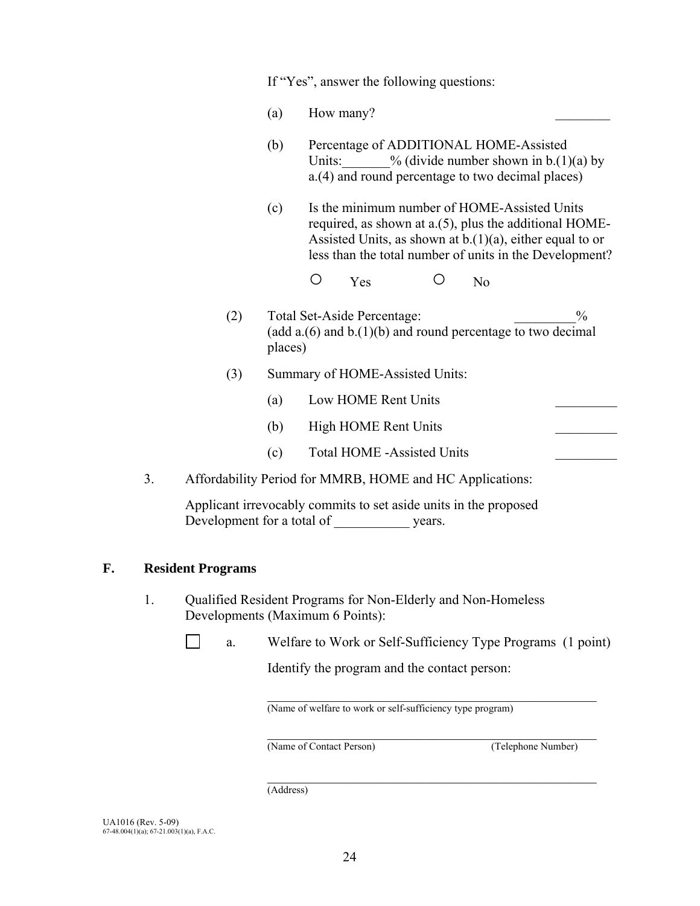If "Yes", answer the following questions:

- (a)  $\qquad$  How many?
- (b) Percentage of ADDITIONAL HOME-Assisted Units:  $\frac{\%}{\text{divide number shown in b.}(1)(a) \text{ by}}$ a.(4) and round percentage to two decimal places)
- (c) Is the minimum number of HOME-Assisted Units required, as shown at a.(5), plus the additional HOME-Assisted Units, as shown at  $b(1)(a)$ , either equal to or less than the total number of units in the Development?

○ Yes ○ No

- (2) Total Set-Aside Percentage:  $\%$ (add  $a(6)$  and  $b(1)(b)$  and round percentage to two decimal places)
- (3) Summary of HOME-Assisted Units:
	- (a) Low HOME Rent Units
	- (b) High HOME Rent Units
	- (c) Total HOME -Assisted Units \_\_\_\_\_\_\_\_\_
- 3. Affordability Period for MMRB, HOME and HC Applications:

Applicant irrevocably commits to set aside units in the proposed Development for a total of  $\qquad \qquad$  years.

### **F. Resident Programs**

- 1. Qualified Resident Programs for Non-Elderly and Non-Homeless Developments (Maximum 6 Points):
	- $\Box$ a. Welfare to Work or Self-Sufficiency Type Programs (1 point)

Identify the program and the contact person:

 $\mathcal{L}_\text{max}$  and the contract of the contract of the contract of the contract of the contract of the contract of the contract of the contract of the contract of the contract of the contract of the contract of the contrac

(Name of welfare to work or self-sufficiency type program)

(Name of Contact Person) (Telephone Number)

 $\mathcal{L}_\text{max}$  and the contract of the contract of the contract of the contract of the contract of the contract of the contract of the contract of the contract of the contract of the contract of the contract of the contrac

 $\mathcal{L}_\text{max}$  and the contract of the contract of the contract of the contract of the contract of the contract of the contract of the contract of the contract of the contract of the contract of the contract of the contrac (Address)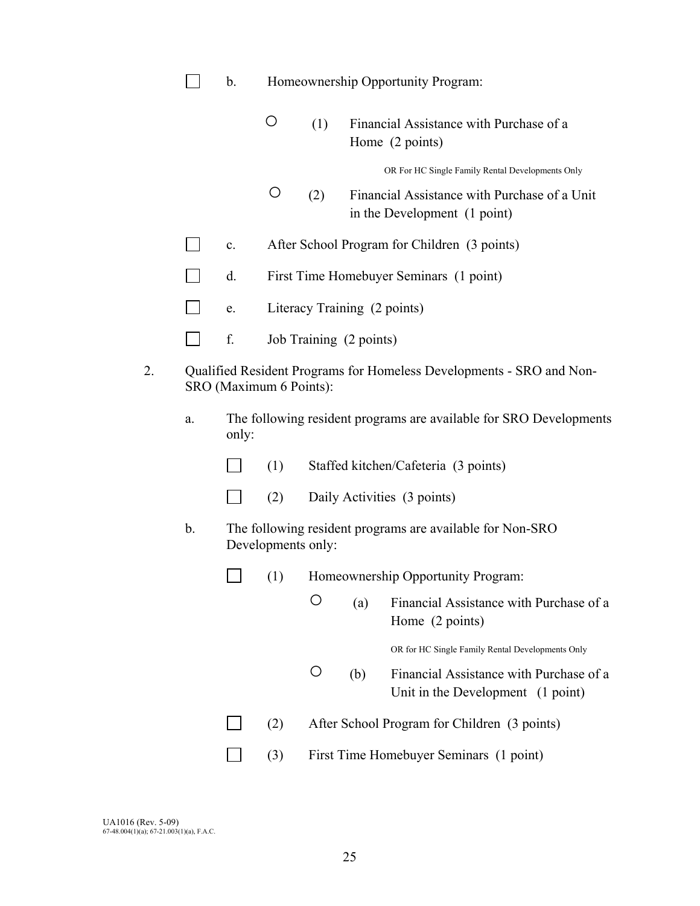|  |  | Homeownership Opportunity Program: |
|--|--|------------------------------------|
|--|--|------------------------------------|

|  | (1) Financial Assistance with Purchase of a |
|--|---------------------------------------------|
|  | Home (2 points)                             |

OR For HC Single Family Rental Developments Only

- (2) Financial Assistance with Purchase of a Unit in the Development (1 point)
- c. After School Program for Children (3 points)
- $\mathcal{L}(\mathcal{L})$ d. First Time Homebuyer Seminars (1 point)
- $\Box$ e. Literacy Training (2 points)
- $\Box$ f. Job Training (2 points)
- 2. Qualified Resident Programs for Homeless Developments SRO and Non-SRO (Maximum 6 Points):
	- a. The following resident programs are available for SRO Developments only:
		- $\Box$  (1) Staffed kitchen/Cafeteria (3 points)
		- $\Box$  (2) Daily Activities (3 points)
	- b. The following resident programs are available for Non-SRO Developments only:
		- $\Box$ (1) Homeownership Opportunity Program:
			- (a) Financial Assistance with Purchase of a Home (2 points)

OR for HC Single Family Rental Developments Only

- (b) Financial Assistance with Purchase of a Unit in the Development(1 point)
- (2) After School Program for Children (3 points)
	- (3) First Time Homebuyer Seminars (1 point)

 $\Box$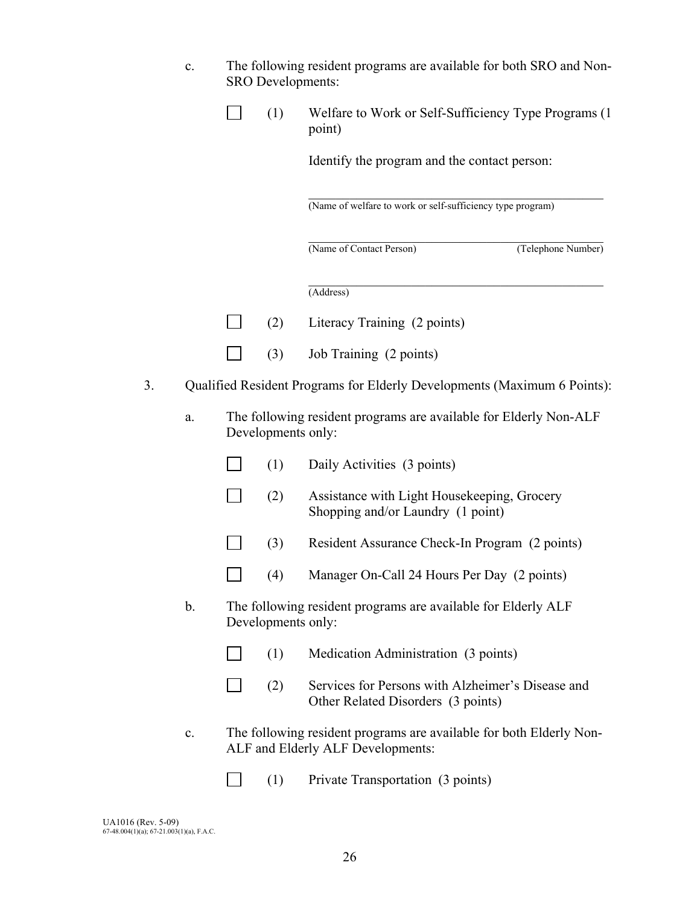| The following resident programs are available for both SRO and Non- |
|---------------------------------------------------------------------|
| <b>SRO</b> Developments:                                            |

| $\Box$ | Welfare to Work or Self-Sufficiency Type Programs (1) |
|--------|-------------------------------------------------------|
|        | point)                                                |

Identify the program and the contact person:

(Name of welfare to work or self-sufficiency type program)

(Name of Contact Person) (Telephone Number)

 $\mathcal{L}_\mathcal{L} = \mathcal{L}_\mathcal{L} = \mathcal{L}_\mathcal{L} = \mathcal{L}_\mathcal{L} = \mathcal{L}_\mathcal{L} = \mathcal{L}_\mathcal{L} = \mathcal{L}_\mathcal{L} = \mathcal{L}_\mathcal{L} = \mathcal{L}_\mathcal{L} = \mathcal{L}_\mathcal{L} = \mathcal{L}_\mathcal{L} = \mathcal{L}_\mathcal{L} = \mathcal{L}_\mathcal{L} = \mathcal{L}_\mathcal{L} = \mathcal{L}_\mathcal{L} = \mathcal{L}_\mathcal{L} = \mathcal{L}_\mathcal{L}$ 

 $\mathcal{L}_\mathcal{L} = \mathcal{L}_\mathcal{L} = \mathcal{L}_\mathcal{L} = \mathcal{L}_\mathcal{L} = \mathcal{L}_\mathcal{L} = \mathcal{L}_\mathcal{L} = \mathcal{L}_\mathcal{L} = \mathcal{L}_\mathcal{L} = \mathcal{L}_\mathcal{L} = \mathcal{L}_\mathcal{L} = \mathcal{L}_\mathcal{L} = \mathcal{L}_\mathcal{L} = \mathcal{L}_\mathcal{L} = \mathcal{L}_\mathcal{L} = \mathcal{L}_\mathcal{L} = \mathcal{L}_\mathcal{L} = \mathcal{L}_\mathcal{L}$ 

 $\mathcal{L}_\text{max}$  and the contract of the contract of the contract of the contract of the contract of the contract of the contract of the contract of the contract of the contract of the contract of the contract of the contrac (Address)

- $\Box$ (2) Literacy Training (2 points)
- $\Box$ (3) Job Training (2 points)
- 3. Qualified Resident Programs for Elderly Developments (Maximum 6 Points):
	- a. The following resident programs are available for Elderly Non-ALF Developments only:
		- $\Box$  (1) Daily Activities (3 points)
		- (2) Assistance with Light Housekeeping, Grocery Shopping and/or Laundry (1 point)
		- **12. (3)** Resident Assurance Check-In Program (2 points)
		- (4) Manager On-Call 24 Hours Per Day (2 points)
	- b. The following resident programs are available for Elderly ALF Developments only:
		- (1) Medication Administration (3 points)
		- (2) Services for Persons with Alzheimer's Disease and Other Related Disorders (3 points)
	- c. The following resident programs are available for both Elderly Non-ALF and Elderly ALF Developments:
		- $\Box$ (1) Private Transportation (3 points)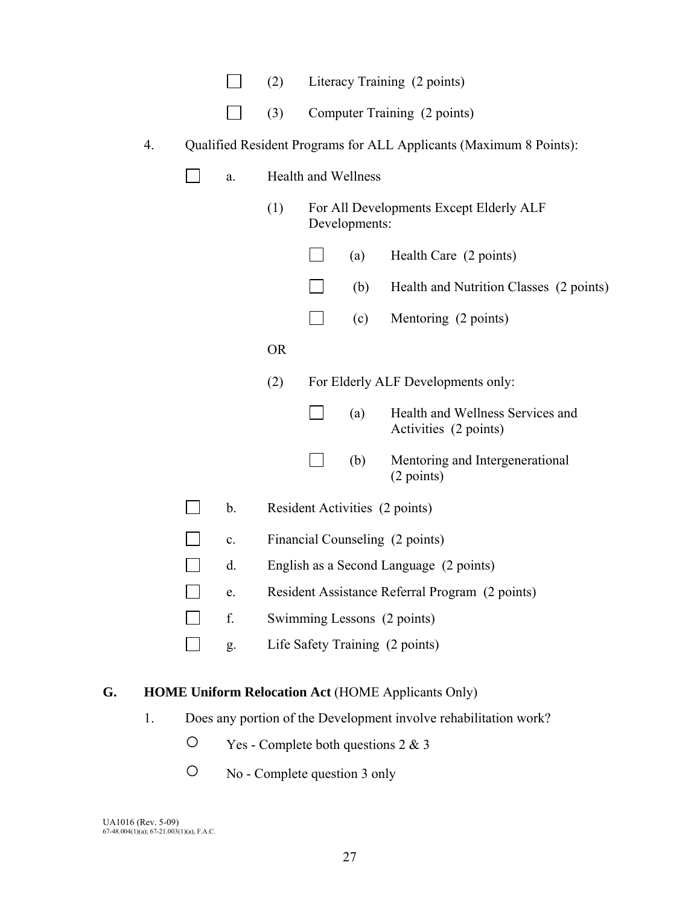| Literacy Training (2 points)<br>(2) |
|-------------------------------------|
|-------------------------------------|

|  | $\Box$ (3) Computer Training (2 points) |  |
|--|-----------------------------------------|--|
|  |                                         |  |

|  |  | Qualified Resident Programs for ALL Applicants (Maximum 8 Points): |
|--|--|--------------------------------------------------------------------|
|  |  |                                                                    |

| Health and Wellness<br>a.                                        |  |  |
|------------------------------------------------------------------|--|--|
| (1)<br>For All Developments Except Elderly ALF<br>Developments:  |  |  |
| Health Care (2 points)<br>(a)                                    |  |  |
| Health and Nutrition Classes (2 points)<br>(b)                   |  |  |
| (c)<br>Mentoring (2 points)                                      |  |  |
| <b>OR</b>                                                        |  |  |
| (2)<br>For Elderly ALF Developments only:                        |  |  |
| Health and Wellness Services and<br>(a)<br>Activities (2 points) |  |  |
| (b)<br>Mentoring and Intergenerational<br>(2 points)             |  |  |
| $\mathbf b$ .<br>Resident Activities (2 points)                  |  |  |
| Financial Counseling (2 points)<br>$\mathbf{c}$ .                |  |  |
| d.<br>English as a Second Language (2 points)                    |  |  |
| Resident Assistance Referral Program (2 points)<br>e.            |  |  |
| f.<br>Swimming Lessons (2 points)                                |  |  |
| Life Safety Training (2 points)<br>g.                            |  |  |

## **G. HOME Uniform Relocation Act** (HOME Applicants Only)

- 1. Does any portion of the Development involve rehabilitation work?
	- Yes Complete both questions 2 & 3
	- No Complete question 3 only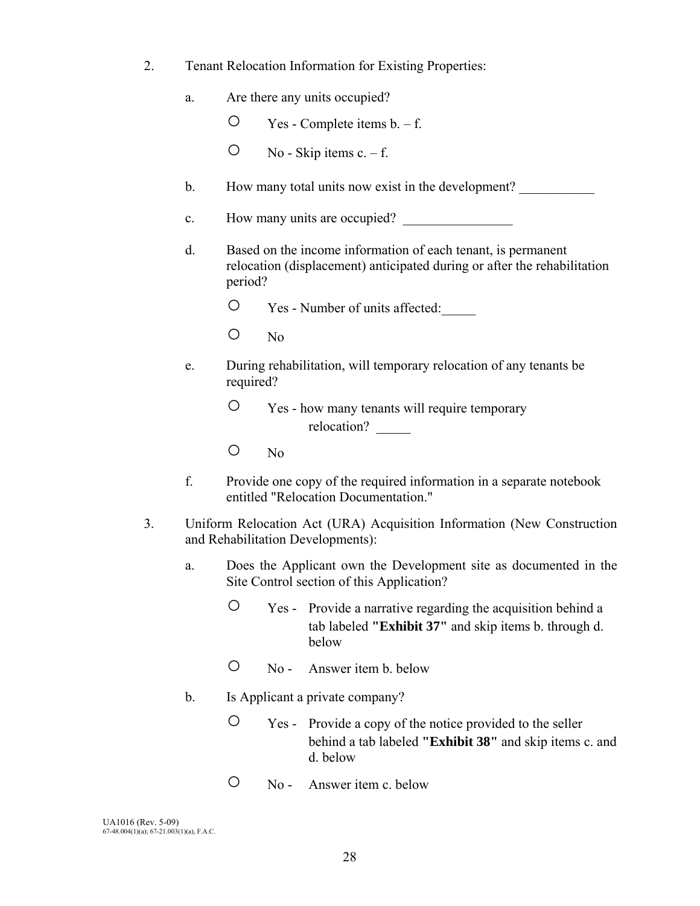- 2. Tenant Relocation Information for Existing Properties:
	- a. Are there any units occupied?
		- $O$  Yes Complete items  $b. f.$
		- $O$  No Skip items c. f.
	- b. How many total units now exist in the development?
	- c. How many units are occupied?
	- d. Based on the income information of each tenant, is permanent relocation (displacement) anticipated during or after the rehabilitation period?
		- Yes Number of units affected:\_\_\_\_\_
		- No
	- e. During rehabilitation, will temporary relocation of any tenants be required?
		- Yes how many tenants will require temporary relocation?
		- No
	- f. Provide one copy of the required information in a separate notebook entitled "Relocation Documentation."
- 3. Uniform Relocation Act (URA) Acquisition Information (New Construction and Rehabilitation Developments):
	- a. Does the Applicant own the Development site as documented in the Site Control section of this Application?
		- Yes Provide a narrative regarding the acquisition behind a tab labeled **"Exhibit 37"** and skip items b. through d. below
		- No Answer item b. below
	- b. Is Applicant a private company?
		- Yes Provide a copy of the notice provided to the seller behind a tab labeled **"Exhibit 38"** and skip items c. and d. below
		- No Answer item c. below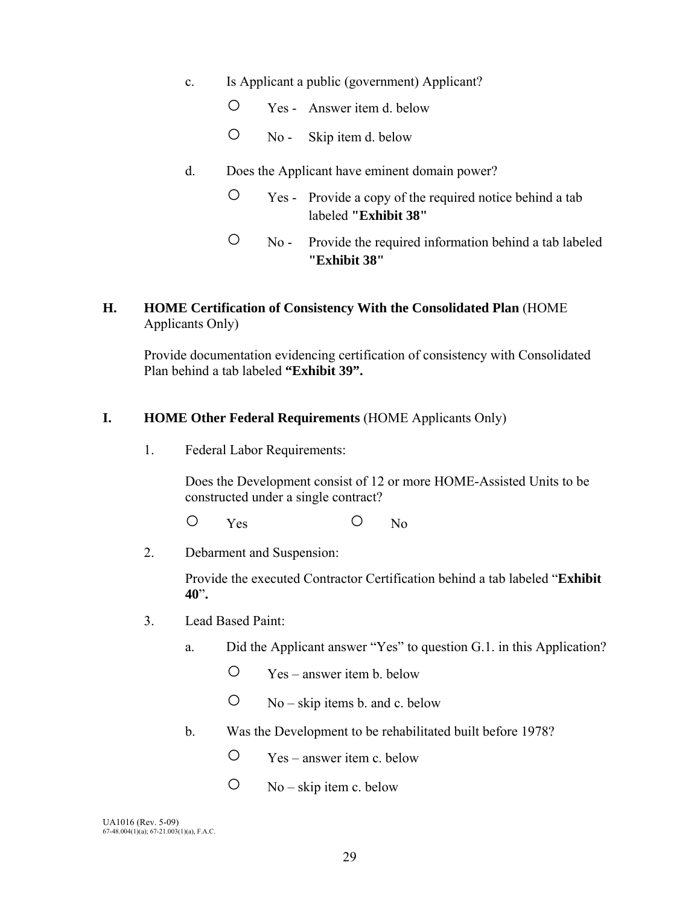- c. Is Applicant a public (government) Applicant?
	- Yes Answer item d. below
	- No Skip item d. below
- d. Does the Applicant have eminent domain power?
	- Yes Provide a copy of the required notice behind a tab labeled **"Exhibit 38"**
	- No Provide the required information behind a tab labeled **"Exhibit 38"**

## **H. HOME Certification of Consistency With the Consolidated Plan** (HOME Applicants Only)

Provide documentation evidencing certification of consistency with Consolidated Plan behind a tab labeled **"Exhibit 39".** 

## **I. HOME Other Federal Requirements** (HOME Applicants Only)

1. Federal Labor Requirements:

Does the Development consist of 12 or more HOME-Assisted Units to be constructed under a single contract?

O Yes O No

2. Debarment and Suspension:

Provide the executed Contractor Certification behind a tab labeled "**Exhibit 40**"**.** 

- 3. Lead Based Paint:
	- a. Did the Applicant answer "Yes" to question G.1. in this Application?
		- Yes answer item b. below
		- $\circ$  No skip items b. and c. below
	- b. Was the Development to be rehabilitated built before 1978?
		- Yes answer item c. below
		- $\circ$  No skip item c. below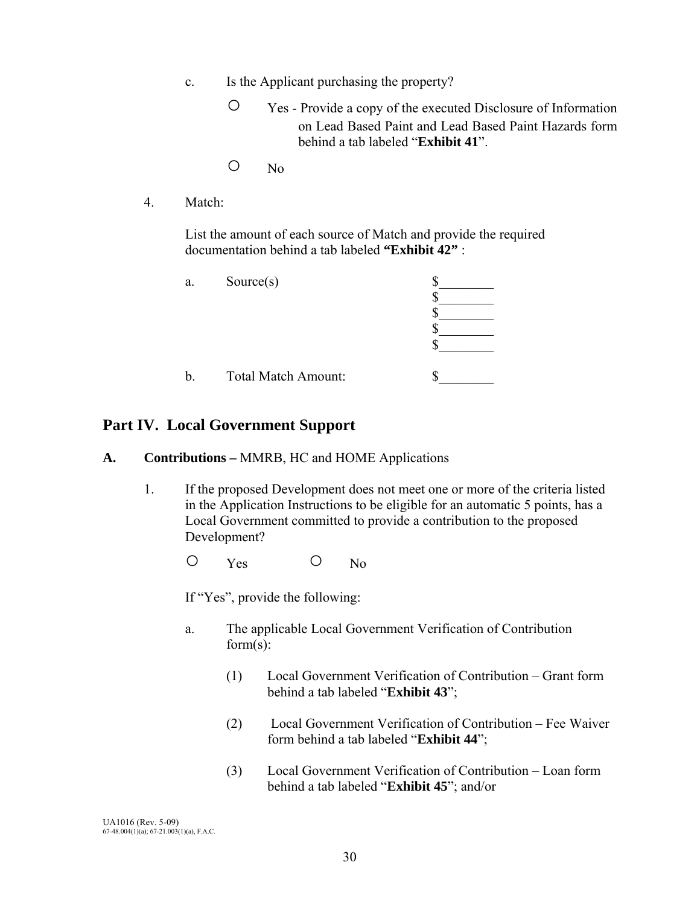- c. Is the Applicant purchasing the property?
	- Yes Provide a copy of the executed Disclosure of Information on Lead Based Paint and Lead Based Paint Hazards form behind a tab labeled "**Exhibit 41**".
	- No
- 4. Match:

 List the amount of each source of Match and provide the required documentation behind a tab labeled **"Exhibit 42"** :

| a. | Source(s)                  |  |
|----|----------------------------|--|
| b. | <b>Total Match Amount:</b> |  |

## **Part IV. Local Government Support**

### **A. Contributions –** MMRB, HC and HOME Applications

 1. If the proposed Development does not meet one or more of the criteria listed in the Application Instructions to be eligible for an automatic 5 points, has a Local Government committed to provide a contribution to the proposed Development?

O Yes O No

If "Yes", provide the following:

- a. The applicable Local Government Verification of Contribution form(s):
	- (1) Local Government Verification of Contribution Grant form behind a tab labeled "**Exhibit 43**";
	- (2) Local Government Verification of Contribution Fee Waiver form behind a tab labeled "**Exhibit 44**";
	- (3) Local Government Verification of Contribution Loan form behind a tab labeled "**Exhibit 45**"; and/or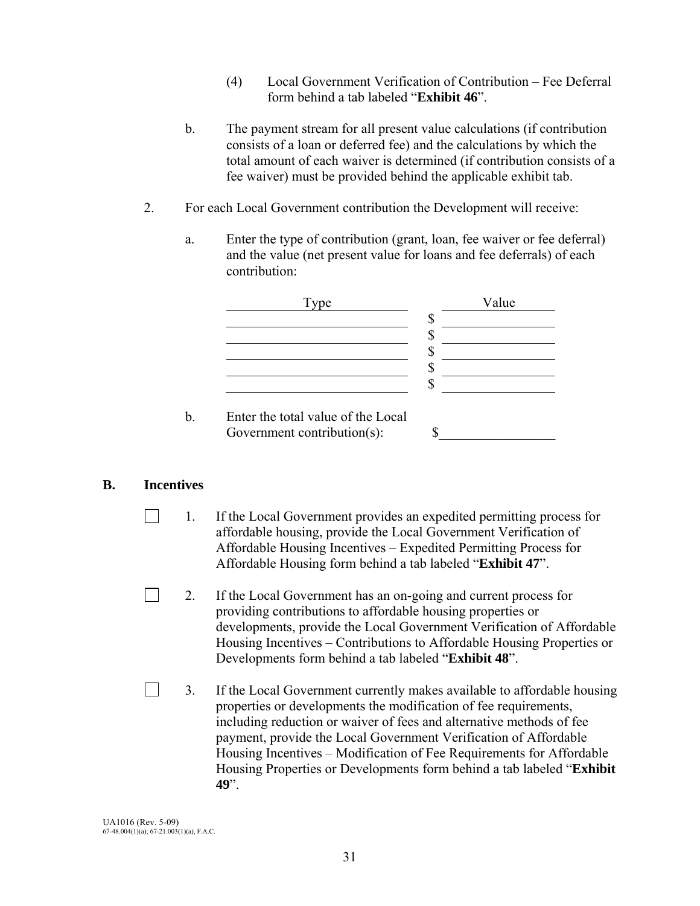- (4) Local Government Verification of Contribution Fee Deferral form behind a tab labeled "**Exhibit 46**".
- b. The payment stream for all present value calculations (if contribution consists of a loan or deferred fee) and the calculations by which the total amount of each waiver is determined (if contribution consists of a fee waiver) must be provided behind the applicable exhibit tab.
- 2. For each Local Government contribution the Development will receive:
	- a. Enter the type of contribution (grant, loan, fee waiver or fee deferral) and the value (net present value for loans and fee deferrals) of each contribution:



## **B. Incentives**

 $\perp$ 

- 1. If the Local Government provides an expedited permitting process for affordable housing, provide the Local Government Verification of Affordable Housing Incentives – Expedited Permitting Process for Affordable Housing form behind a tab labeled "**Exhibit 47**".
- 2. If the Local Government has an on-going and current process for providing contributions to affordable housing properties or developments, provide the Local Government Verification of Affordable Housing Incentives – Contributions to Affordable Housing Properties or Developments form behind a tab labeled "**Exhibit 48**".
- $\Box$ 3. If the Local Government currently makes available to affordable housing properties or developments the modification of fee requirements, including reduction or waiver of fees and alternative methods of fee payment, provide the Local Government Verification of Affordable Housing Incentives – Modification of Fee Requirements for Affordable Housing Properties or Developments form behind a tab labeled "**Exhibit 49**".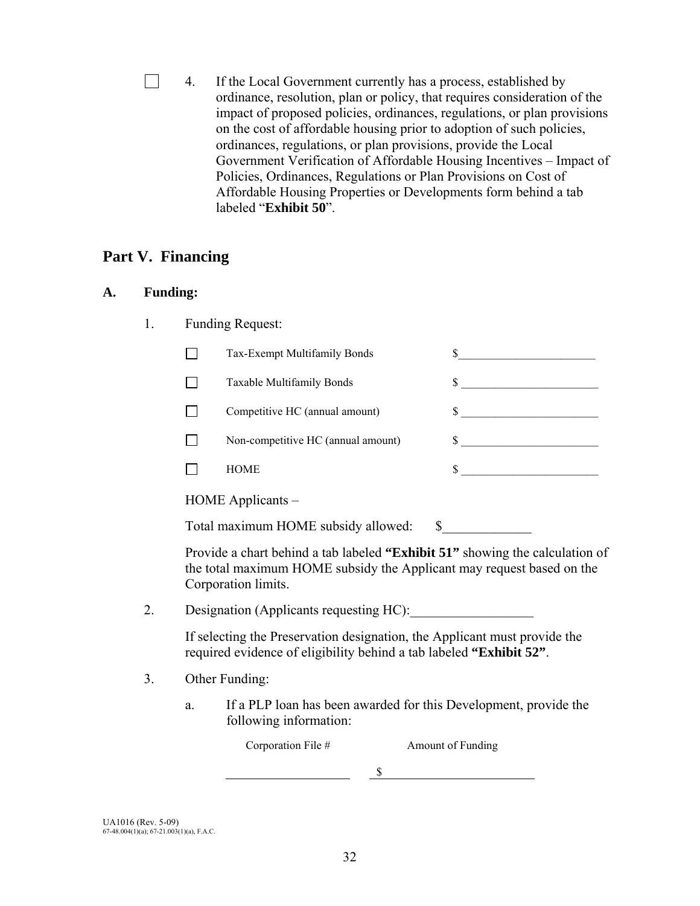$\Box$ 4. If the Local Government currently has a process, established by ordinance, resolution, plan or policy, that requires consideration of the impact of proposed policies, ordinances, regulations, or plan provisions on the cost of affordable housing prior to adoption of such policies, ordinances, regulations, or plan provisions, provide the Local Government Verification of Affordable Housing Incentives – Impact of Policies, Ordinances, Regulations or Plan Provisions on Cost of Affordable Housing Properties or Developments form behind a tab labeled "**Exhibit 50**".

## **Part V. Financing**

### **A. Funding:**

1. Funding Request:

|    | Tax-Exempt Multifamily Bonds                                                                                                                                                 |                                                         |  |  |
|----|------------------------------------------------------------------------------------------------------------------------------------------------------------------------------|---------------------------------------------------------|--|--|
|    | Taxable Multifamily Bonds                                                                                                                                                    | \$<br><u> 1980 - Johann Barbara, martxa alemaniar a</u> |  |  |
|    | Competitive HC (annual amount)                                                                                                                                               |                                                         |  |  |
|    | Non-competitive HC (annual amount)                                                                                                                                           | $\sim$                                                  |  |  |
|    | <b>HOME</b>                                                                                                                                                                  | \$                                                      |  |  |
|    | HOME Applicants –                                                                                                                                                            |                                                         |  |  |
|    | Total maximum HOME subsidy allowed:                                                                                                                                          |                                                         |  |  |
|    | Provide a chart behind a tab labeled "Exhibit 51" showing the calculation of<br>the total maximum HOME subsidy the Applicant may request based on the<br>Corporation limits. |                                                         |  |  |
| 2. | Designation (Applicants requesting HC):                                                                                                                                      |                                                         |  |  |
|    | If selecting the Preservation designation, the Applicant must provide the<br>required evidence of eligibility behind a tab labeled "Exhibit 52".                             |                                                         |  |  |

3. Other Funding:

 a. If a PLP loan has been awarded for this Development, provide the following information:

\$

Corporation File # Amount of Funding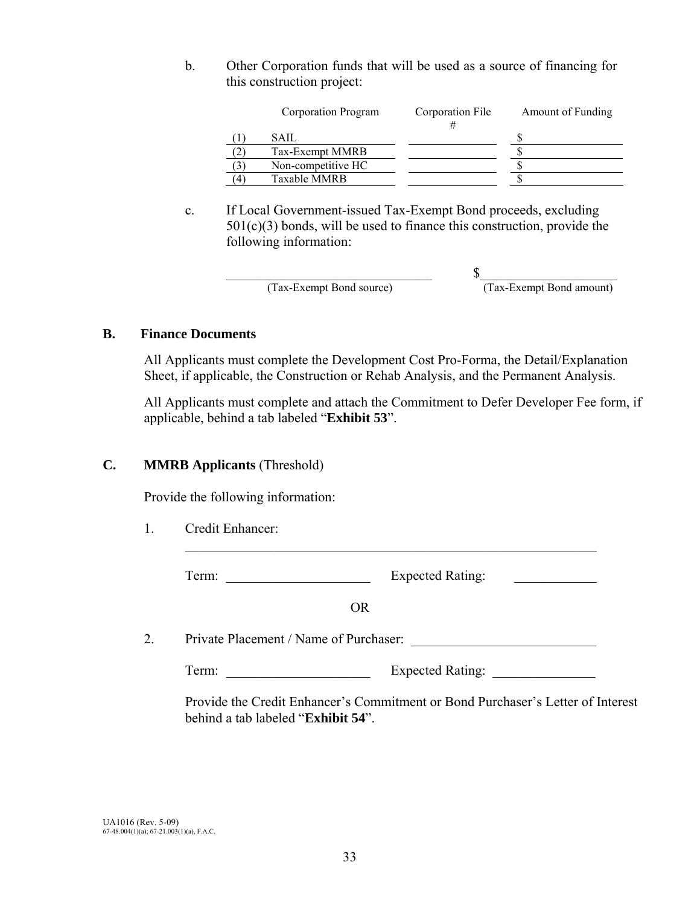b. Other Corporation funds that will be used as a source of financing for this construction project:

|             | Corporation Program | Corporation File | Amount of Funding |
|-------------|---------------------|------------------|-------------------|
|             | SAIL                |                  |                   |
|             | Tax-Exempt MMRB     |                  |                   |
| $^{\prime}$ | Non-competitive HC  |                  |                   |
| ΄4          | <b>Taxable MMRB</b> |                  |                   |

 c. If Local Government-issued Tax-Exempt Bond proceeds, excluding  $501(c)(3)$  bonds, will be used to finance this construction, provide the following information:

(Tax-Exempt Bond source) (Tax-Exempt Bond amount)

 $\mathbb S$ 

### **B. Finance Documents**

All Applicants must complete the Development Cost Pro-Forma, the Detail/Explanation Sheet, if applicable, the Construction or Rehab Analysis, and the Permanent Analysis.

All Applicants must complete and attach the Commitment to Defer Developer Fee form, if applicable, behind a tab labeled "**Exhibit 53**".

### **C. MMRB Applicants** (Threshold)

Provide the following information:

1. Credit Enhancer:

Term: Expected Rating:

 $\mathcal{L}_\text{max} = \frac{1}{2} \sum_{i=1}^{n} \frac{1}{2} \sum_{i=1}^{n} \frac{1}{2} \sum_{i=1}^{n} \frac{1}{2} \sum_{i=1}^{n} \frac{1}{2} \sum_{i=1}^{n} \frac{1}{2} \sum_{i=1}^{n} \frac{1}{2} \sum_{i=1}^{n} \frac{1}{2} \sum_{i=1}^{n} \frac{1}{2} \sum_{i=1}^{n} \frac{1}{2} \sum_{i=1}^{n} \frac{1}{2} \sum_{i=1}^{n} \frac{1}{2} \sum_{i=1}^{n} \frac{1$ 

OR

2. Private Placement / Name of Purchaser:

Term: Expected Rating:

Provide the Credit Enhancer's Commitment or Bond Purchaser's Letter of Interest behind a tab labeled "**Exhibit 54**".